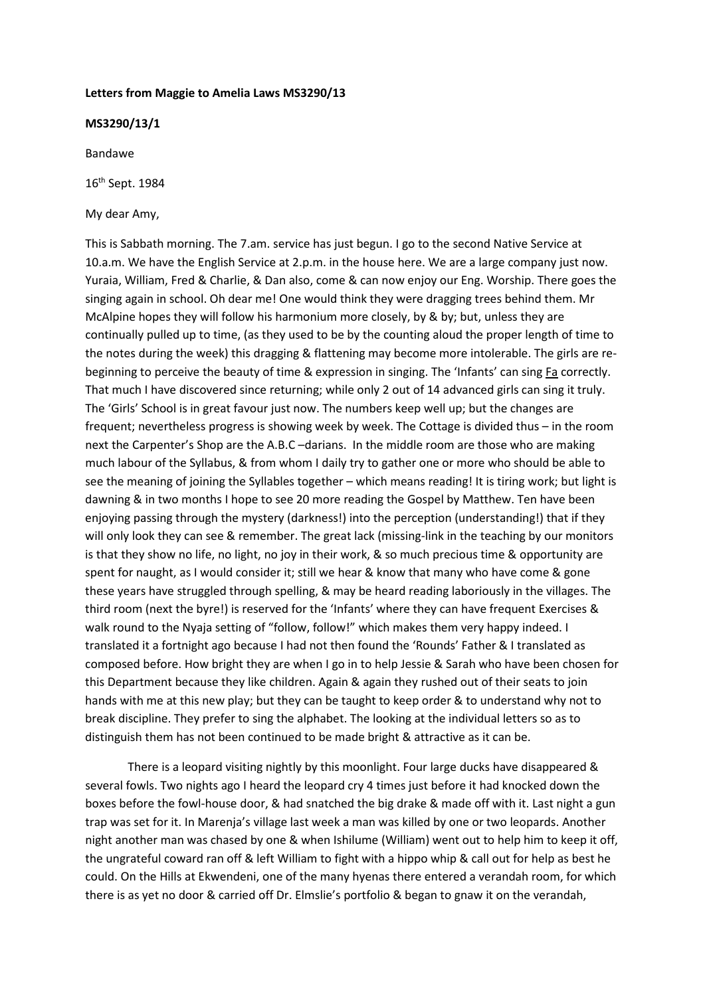#### **Letters from Maggie to Amelia Laws MS3290/13**

## **MS3290/13/1**

Bandawe

16th Sept. 1984

My dear Amy,

This is Sabbath morning. The 7.am. service has just begun. I go to the second Native Service at 10.a.m. We have the English Service at 2.p.m. in the house here. We are a large company just now. Yuraia, William, Fred & Charlie, & Dan also, come & can now enjoy our Eng. Worship. There goes the singing again in school. Oh dear me! One would think they were dragging trees behind them. Mr McAlpine hopes they will follow his harmonium more closely, by & by; but, unless they are continually pulled up to time, (as they used to be by the counting aloud the proper length of time to the notes during the week) this dragging & flattening may become more intolerable. The girls are rebeginning to perceive the beauty of time & expression in singing. The 'Infants' can sing Fa correctly. That much I have discovered since returning; while only 2 out of 14 advanced girls can sing it truly. The 'Girls' School is in great favour just now. The numbers keep well up; but the changes are frequent; nevertheless progress is showing week by week. The Cottage is divided thus – in the room next the Carpenter's Shop are the A.B.C –darians. In the middle room are those who are making much labour of the Syllabus, & from whom I daily try to gather one or more who should be able to see the meaning of joining the Syllables together – which means reading! It is tiring work; but light is dawning & in two months I hope to see 20 more reading the Gospel by Matthew. Ten have been enjoying passing through the mystery (darkness!) into the perception (understanding!) that if they will only look they can see & remember. The great lack (missing-link in the teaching by our monitors is that they show no life, no light, no joy in their work, & so much precious time & opportunity are spent for naught, as I would consider it; still we hear & know that many who have come & gone these years have struggled through spelling, & may be heard reading laboriously in the villages. The third room (next the byre!) is reserved for the 'Infants' where they can have frequent Exercises & walk round to the Nyaja setting of "follow, follow!" which makes them very happy indeed. I translated it a fortnight ago because I had not then found the 'Rounds' Father & I translated as composed before. How bright they are when I go in to help Jessie & Sarah who have been chosen for this Department because they like children. Again & again they rushed out of their seats to join hands with me at this new play; but they can be taught to keep order & to understand why not to break discipline. They prefer to sing the alphabet. The looking at the individual letters so as to distinguish them has not been continued to be made bright & attractive as it can be.

There is a leopard visiting nightly by this moonlight. Four large ducks have disappeared & several fowls. Two nights ago I heard the leopard cry 4 times just before it had knocked down the boxes before the fowl-house door, & had snatched the big drake & made off with it. Last night a gun trap was set for it. In Marenja's village last week a man was killed by one or two leopards. Another night another man was chased by one & when Ishilume (William) went out to help him to keep it off, the ungrateful coward ran off & left William to fight with a hippo whip & call out for help as best he could. On the Hills at Ekwendeni, one of the many hyenas there entered a verandah room, for which there is as yet no door & carried off Dr. Elmslie's portfolio & began to gnaw it on the verandah,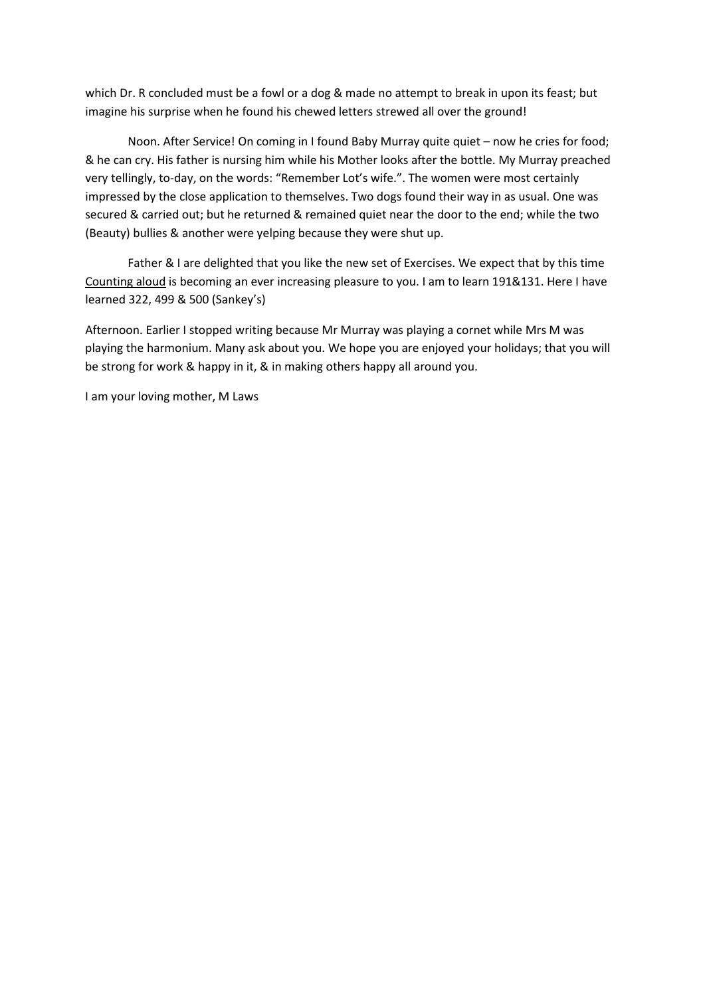which Dr. R concluded must be a fowl or a dog & made no attempt to break in upon its feast; but imagine his surprise when he found his chewed letters strewed all over the ground!

Noon. After Service! On coming in I found Baby Murray quite quiet – now he cries for food; & he can cry. His father is nursing him while his Mother looks after the bottle. My Murray preached very tellingly, to-day, on the words: "Remember Lot's wife.". The women were most certainly impressed by the close application to themselves. Two dogs found their way in as usual. One was secured & carried out; but he returned & remained quiet near the door to the end; while the two (Beauty) bullies & another were yelping because they were shut up.

Father & I are delighted that you like the new set of Exercises. We expect that by this time Counting aloud is becoming an ever increasing pleasure to you. I am to learn 191&131. Here I have learned 322, 499 & 500 (Sankey's)

Afternoon. Earlier I stopped writing because Mr Murray was playing a cornet while Mrs M was playing the harmonium. Many ask about you. We hope you are enjoyed your holidays; that you will be strong for work & happy in it, & in making others happy all around you.

I am your loving mother, M Laws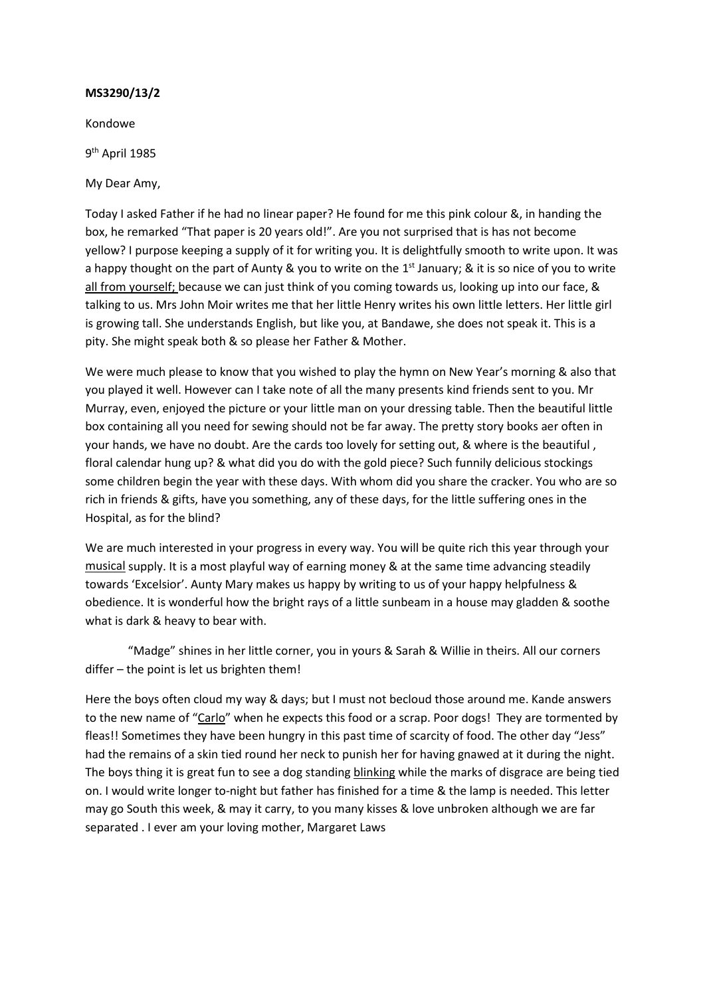Kondowe

9th April 1985

My Dear Amy,

Today I asked Father if he had no linear paper? He found for me this pink colour &, in handing the box, he remarked "That paper is 20 years old!". Are you not surprised that is has not become yellow? I purpose keeping a supply of it for writing you. It is delightfully smooth to write upon. It was a happy thought on the part of Aunty & you to write on the  $1<sup>st</sup>$  January; & it is so nice of you to write all from yourself; because we can just think of you coming towards us, looking up into our face, & talking to us. Mrs John Moir writes me that her little Henry writes his own little letters. Her little girl is growing tall. She understands English, but like you, at Bandawe, she does not speak it. This is a pity. She might speak both & so please her Father & Mother.

We were much please to know that you wished to play the hymn on New Year's morning & also that you played it well. However can I take note of all the many presents kind friends sent to you. Mr Murray, even, enjoyed the picture or your little man on your dressing table. Then the beautiful little box containing all you need for sewing should not be far away. The pretty story books aer often in your hands, we have no doubt. Are the cards too lovely for setting out, & where is the beautiful , floral calendar hung up? & what did you do with the gold piece? Such funnily delicious stockings some children begin the year with these days. With whom did you share the cracker. You who are so rich in friends & gifts, have you something, any of these days, for the little suffering ones in the Hospital, as for the blind?

We are much interested in your progress in every way. You will be quite rich this year through your musical supply. It is a most playful way of earning money & at the same time advancing steadily towards 'Excelsior'. Aunty Mary makes us happy by writing to us of your happy helpfulness & obedience. It is wonderful how the bright rays of a little sunbeam in a house may gladden & soothe what is dark & heavy to bear with.

"Madge" shines in her little corner, you in yours & Sarah & Willie in theirs. All our corners differ – the point is let us brighten them!

Here the boys often cloud my way & days; but I must not becloud those around me. Kande answers to the new name of "Carlo" when he expects this food or a scrap. Poor dogs! They are tormented by fleas!! Sometimes they have been hungry in this past time of scarcity of food. The other day "Jess" had the remains of a skin tied round her neck to punish her for having gnawed at it during the night. The boys thing it is great fun to see a dog standing blinking while the marks of disgrace are being tied on. I would write longer to-night but father has finished for a time & the lamp is needed. This letter may go South this week, & may it carry, to you many kisses & love unbroken although we are far separated . I ever am your loving mother, Margaret Laws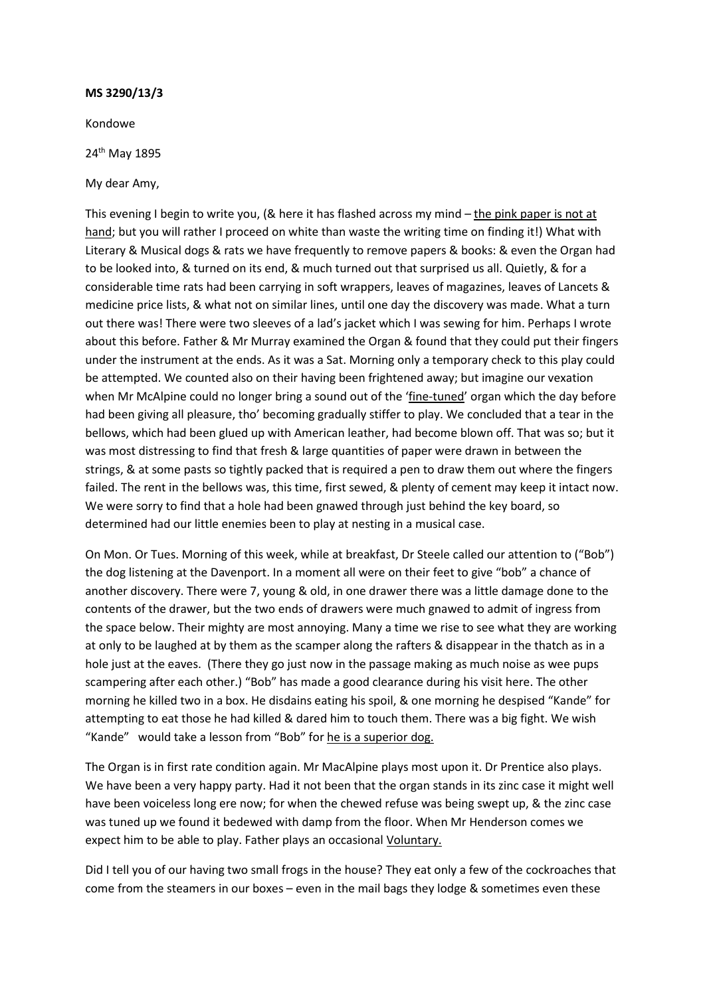Kondowe

24<sup>th</sup> May 1895

My dear Amy,

This evening I begin to write you, (& here it has flashed across my mind – the pink paper is not at hand; but you will rather I proceed on white than waste the writing time on finding it!) What with Literary & Musical dogs & rats we have frequently to remove papers & books: & even the Organ had to be looked into, & turned on its end, & much turned out that surprised us all. Quietly, & for a considerable time rats had been carrying in soft wrappers, leaves of magazines, leaves of Lancets & medicine price lists, & what not on similar lines, until one day the discovery was made. What a turn out there was! There were two sleeves of a lad's jacket which I was sewing for him. Perhaps I wrote about this before. Father & Mr Murray examined the Organ & found that they could put their fingers under the instrument at the ends. As it was a Sat. Morning only a temporary check to this play could be attempted. We counted also on their having been frightened away; but imagine our vexation when Mr McAlpine could no longer bring a sound out of the 'fine-tuned' organ which the day before had been giving all pleasure, tho' becoming gradually stiffer to play. We concluded that a tear in the bellows, which had been glued up with American leather, had become blown off. That was so; but it was most distressing to find that fresh & large quantities of paper were drawn in between the strings, & at some pasts so tightly packed that is required a pen to draw them out where the fingers failed. The rent in the bellows was, this time, first sewed, & plenty of cement may keep it intact now. We were sorry to find that a hole had been gnawed through just behind the key board, so determined had our little enemies been to play at nesting in a musical case.

On Mon. Or Tues. Morning of this week, while at breakfast, Dr Steele called our attention to ("Bob") the dog listening at the Davenport. In a moment all were on their feet to give "bob" a chance of another discovery. There were 7, young & old, in one drawer there was a little damage done to the contents of the drawer, but the two ends of drawers were much gnawed to admit of ingress from the space below. Their mighty are most annoying. Many a time we rise to see what they are working at only to be laughed at by them as the scamper along the rafters & disappear in the thatch as in a hole just at the eaves. (There they go just now in the passage making as much noise as wee pups scampering after each other.) "Bob" has made a good clearance during his visit here. The other morning he killed two in a box. He disdains eating his spoil, & one morning he despised "Kande" for attempting to eat those he had killed & dared him to touch them. There was a big fight. We wish "Kande" would take a lesson from "Bob" for he is a superior dog.

The Organ is in first rate condition again. Mr MacAlpine plays most upon it. Dr Prentice also plays. We have been a very happy party. Had it not been that the organ stands in its zinc case it might well have been voiceless long ere now; for when the chewed refuse was being swept up, & the zinc case was tuned up we found it bedewed with damp from the floor. When Mr Henderson comes we expect him to be able to play. Father plays an occasional Voluntary.

Did I tell you of our having two small frogs in the house? They eat only a few of the cockroaches that come from the steamers in our boxes – even in the mail bags they lodge & sometimes even these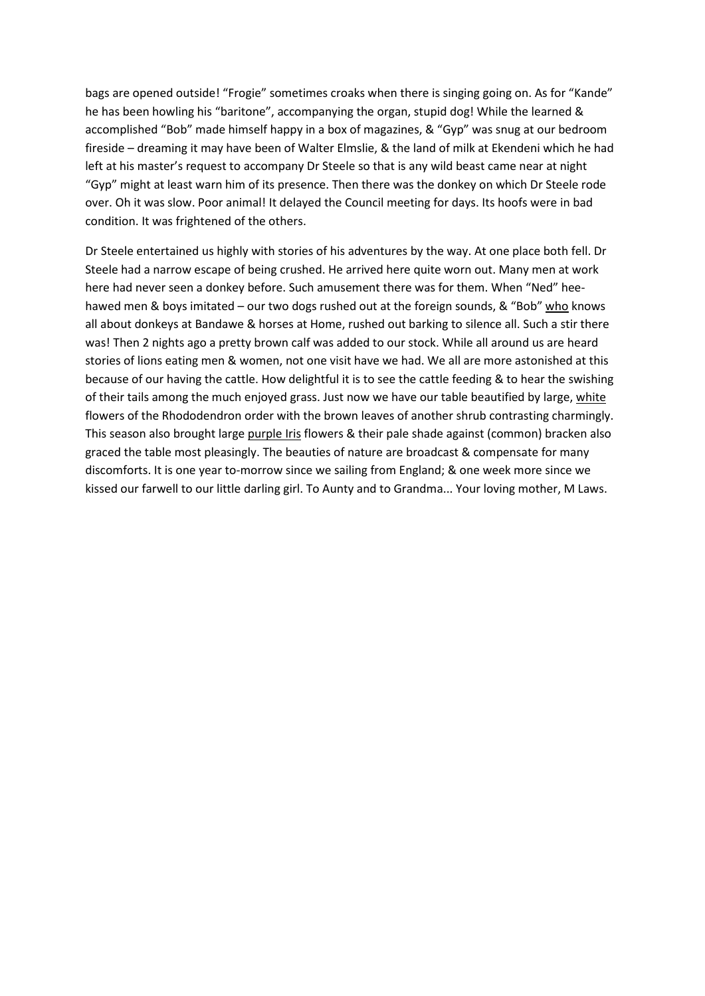bags are opened outside! "Frogie" sometimes croaks when there is singing going on. As for "Kande" he has been howling his "baritone", accompanying the organ, stupid dog! While the learned & accomplished "Bob" made himself happy in a box of magazines, & "Gyp" was snug at our bedroom fireside – dreaming it may have been of Walter Elmslie, & the land of milk at Ekendeni which he had left at his master's request to accompany Dr Steele so that is any wild beast came near at night "Gyp" might at least warn him of its presence. Then there was the donkey on which Dr Steele rode over. Oh it was slow. Poor animal! It delayed the Council meeting for days. Its hoofs were in bad condition. It was frightened of the others.

Dr Steele entertained us highly with stories of his adventures by the way. At one place both fell. Dr Steele had a narrow escape of being crushed. He arrived here quite worn out. Many men at work here had never seen a donkey before. Such amusement there was for them. When "Ned" heehawed men & boys imitated – our two dogs rushed out at the foreign sounds, & "Bob" who knows all about donkeys at Bandawe & horses at Home, rushed out barking to silence all. Such a stir there was! Then 2 nights ago a pretty brown calf was added to our stock. While all around us are heard stories of lions eating men & women, not one visit have we had. We all are more astonished at this because of our having the cattle. How delightful it is to see the cattle feeding & to hear the swishing of their tails among the much enjoyed grass. Just now we have our table beautified by large, white flowers of the Rhododendron order with the brown leaves of another shrub contrasting charmingly. This season also brought large purple Iris flowers & their pale shade against (common) bracken also graced the table most pleasingly. The beauties of nature are broadcast & compensate for many discomforts. It is one year to-morrow since we sailing from England; & one week more since we kissed our farwell to our little darling girl. To Aunty and to Grandma... Your loving mother, M Laws.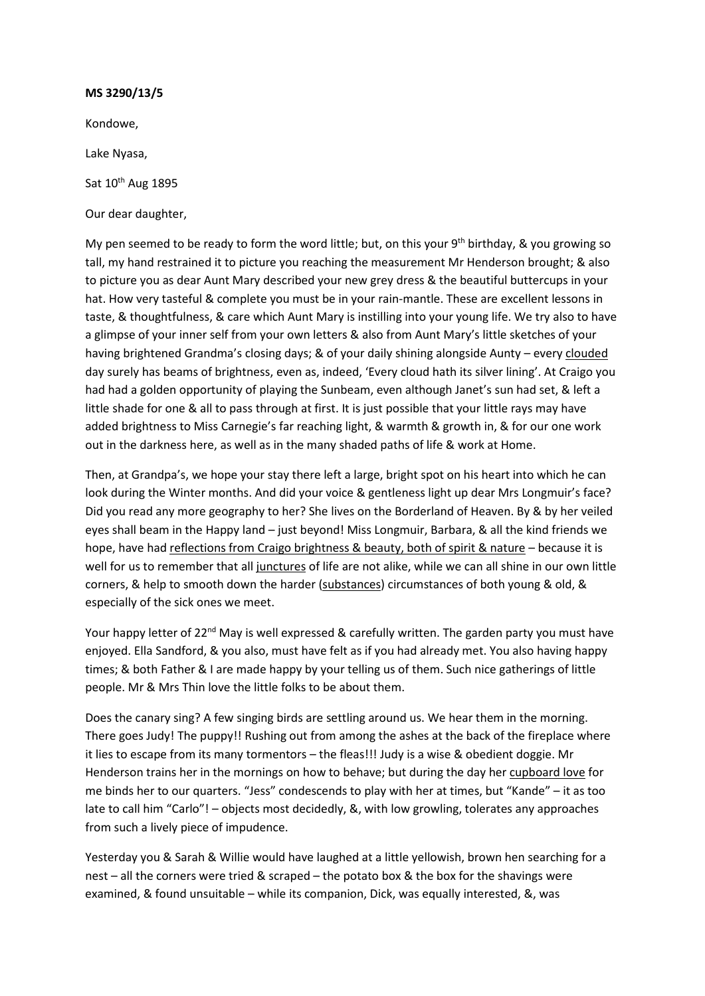Kondowe,

Lake Nyasa,

Sat 10<sup>th</sup> Aug 1895

Our dear daughter,

My pen seemed to be ready to form the word little; but, on this your  $9<sup>th</sup>$  birthday, & you growing so tall, my hand restrained it to picture you reaching the measurement Mr Henderson brought; & also to picture you as dear Aunt Mary described your new grey dress & the beautiful buttercups in your hat. How very tasteful & complete you must be in your rain-mantle. These are excellent lessons in taste, & thoughtfulness, & care which Aunt Mary is instilling into your young life. We try also to have a glimpse of your inner self from your own letters & also from Aunt Mary's little sketches of your having brightened Grandma's closing days; & of your daily shining alongside Aunty – every clouded day surely has beams of brightness, even as, indeed, 'Every cloud hath its silver lining'. At Craigo you had had a golden opportunity of playing the Sunbeam, even although Janet's sun had set, & left a little shade for one & all to pass through at first. It is just possible that your little rays may have added brightness to Miss Carnegie's far reaching light, & warmth & growth in, & for our one work out in the darkness here, as well as in the many shaded paths of life & work at Home.

Then, at Grandpa's, we hope your stay there left a large, bright spot on his heart into which he can look during the Winter months. And did your voice & gentleness light up dear Mrs Longmuir's face? Did you read any more geography to her? She lives on the Borderland of Heaven. By & by her veiled eyes shall beam in the Happy land – just beyond! Miss Longmuir, Barbara, & all the kind friends we hope, have had reflections from Craigo brightness & beauty, both of spirit & nature – because it is well for us to remember that all junctures of life are not alike, while we can all shine in our own little corners, & help to smooth down the harder (substances) circumstances of both young & old, & especially of the sick ones we meet.

Your happy letter of 22<sup>nd</sup> May is well expressed & carefully written. The garden party you must have enjoyed. Ella Sandford, & you also, must have felt as if you had already met. You also having happy times; & both Father & I are made happy by your telling us of them. Such nice gatherings of little people. Mr & Mrs Thin love the little folks to be about them.

Does the canary sing? A few singing birds are settling around us. We hear them in the morning. There goes Judy! The puppy!! Rushing out from among the ashes at the back of the fireplace where it lies to escape from its many tormentors – the fleas!!! Judy is a wise & obedient doggie. Mr Henderson trains her in the mornings on how to behave; but during the day her cupboard love for me binds her to our quarters. "Jess" condescends to play with her at times, but "Kande" – it as too late to call him "Carlo"! – objects most decidedly, &, with low growling, tolerates any approaches from such a lively piece of impudence.

Yesterday you & Sarah & Willie would have laughed at a little yellowish, brown hen searching for a nest – all the corners were tried & scraped – the potato box & the box for the shavings were examined, & found unsuitable – while its companion, Dick, was equally interested, &, was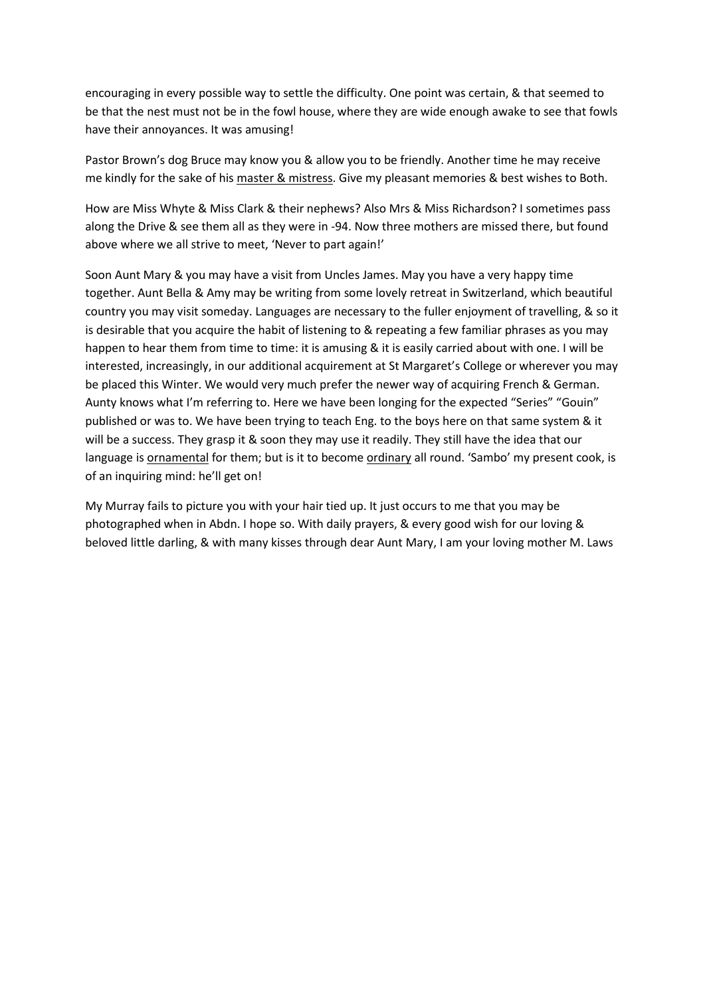encouraging in every possible way to settle the difficulty. One point was certain, & that seemed to be that the nest must not be in the fowl house, where they are wide enough awake to see that fowls have their annoyances. It was amusing!

Pastor Brown's dog Bruce may know you & allow you to be friendly. Another time he may receive me kindly for the sake of his master & mistress. Give my pleasant memories & best wishes to Both.

How are Miss Whyte & Miss Clark & their nephews? Also Mrs & Miss Richardson? I sometimes pass along the Drive & see them all as they were in -94. Now three mothers are missed there, but found above where we all strive to meet, 'Never to part again!'

Soon Aunt Mary & you may have a visit from Uncles James. May you have a very happy time together. Aunt Bella & Amy may be writing from some lovely retreat in Switzerland, which beautiful country you may visit someday. Languages are necessary to the fuller enjoyment of travelling, & so it is desirable that you acquire the habit of listening to & repeating a few familiar phrases as you may happen to hear them from time to time: it is amusing & it is easily carried about with one. I will be interested, increasingly, in our additional acquirement at St Margaret's College or wherever you may be placed this Winter. We would very much prefer the newer way of acquiring French & German. Aunty knows what I'm referring to. Here we have been longing for the expected "Series" "Gouin" published or was to. We have been trying to teach Eng. to the boys here on that same system & it will be a success. They grasp it & soon they may use it readily. They still have the idea that our language is ornamental for them; but is it to become ordinary all round. 'Sambo' my present cook, is of an inquiring mind: he'll get on!

My Murray fails to picture you with your hair tied up. It just occurs to me that you may be photographed when in Abdn. I hope so. With daily prayers, & every good wish for our loving & beloved little darling, & with many kisses through dear Aunt Mary, I am your loving mother M. Laws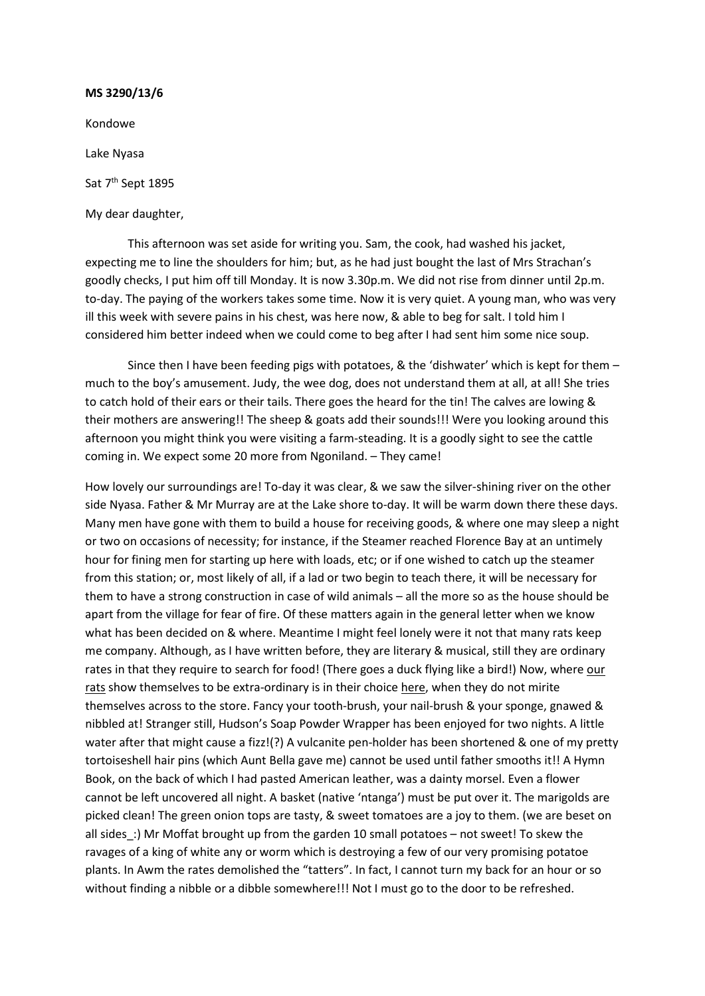Kondowe Lake Nyasa Sat 7<sup>th</sup> Sept 1895

My dear daughter,

This afternoon was set aside for writing you. Sam, the cook, had washed his jacket, expecting me to line the shoulders for him; but, as he had just bought the last of Mrs Strachan's goodly checks, I put him off till Monday. It is now 3.30p.m. We did not rise from dinner until 2p.m. to-day. The paying of the workers takes some time. Now it is very quiet. A young man, who was very ill this week with severe pains in his chest, was here now, & able to beg for salt. I told him I considered him better indeed when we could come to beg after I had sent him some nice soup.

Since then I have been feeding pigs with potatoes, & the 'dishwater' which is kept for them  $$ much to the boy's amusement. Judy, the wee dog, does not understand them at all, at all! She tries to catch hold of their ears or their tails. There goes the heard for the tin! The calves are lowing & their mothers are answering!! The sheep & goats add their sounds!!! Were you looking around this afternoon you might think you were visiting a farm-steading. It is a goodly sight to see the cattle coming in. We expect some 20 more from Ngoniland. – They came!

How lovely our surroundings are! To-day it was clear, & we saw the silver-shining river on the other side Nyasa. Father & Mr Murray are at the Lake shore to-day. It will be warm down there these days. Many men have gone with them to build a house for receiving goods, & where one may sleep a night or two on occasions of necessity; for instance, if the Steamer reached Florence Bay at an untimely hour for fining men for starting up here with loads, etc; or if one wished to catch up the steamer from this station; or, most likely of all, if a lad or two begin to teach there, it will be necessary for them to have a strong construction in case of wild animals – all the more so as the house should be apart from the village for fear of fire. Of these matters again in the general letter when we know what has been decided on & where. Meantime I might feel lonely were it not that many rats keep me company. Although, as I have written before, they are literary & musical, still they are ordinary rates in that they require to search for food! (There goes a duck flying like a bird!) Now, where our rats show themselves to be extra-ordinary is in their choice here, when they do not mirite themselves across to the store. Fancy your tooth-brush, your nail-brush & your sponge, gnawed & nibbled at! Stranger still, Hudson's Soap Powder Wrapper has been enjoyed for two nights. A little water after that might cause a fizz!(?) A vulcanite pen-holder has been shortened & one of my pretty tortoiseshell hair pins (which Aunt Bella gave me) cannot be used until father smooths it!! A Hymn Book, on the back of which I had pasted American leather, was a dainty morsel. Even a flower cannot be left uncovered all night. A basket (native 'ntanga') must be put over it. The marigolds are picked clean! The green onion tops are tasty, & sweet tomatoes are a joy to them. (we are beset on all sides\_:) Mr Moffat brought up from the garden 10 small potatoes – not sweet! To skew the ravages of a king of white any or worm which is destroying a few of our very promising potatoe plants. In Awm the rates demolished the "tatters". In fact, I cannot turn my back for an hour or so without finding a nibble or a dibble somewhere!!! Not I must go to the door to be refreshed.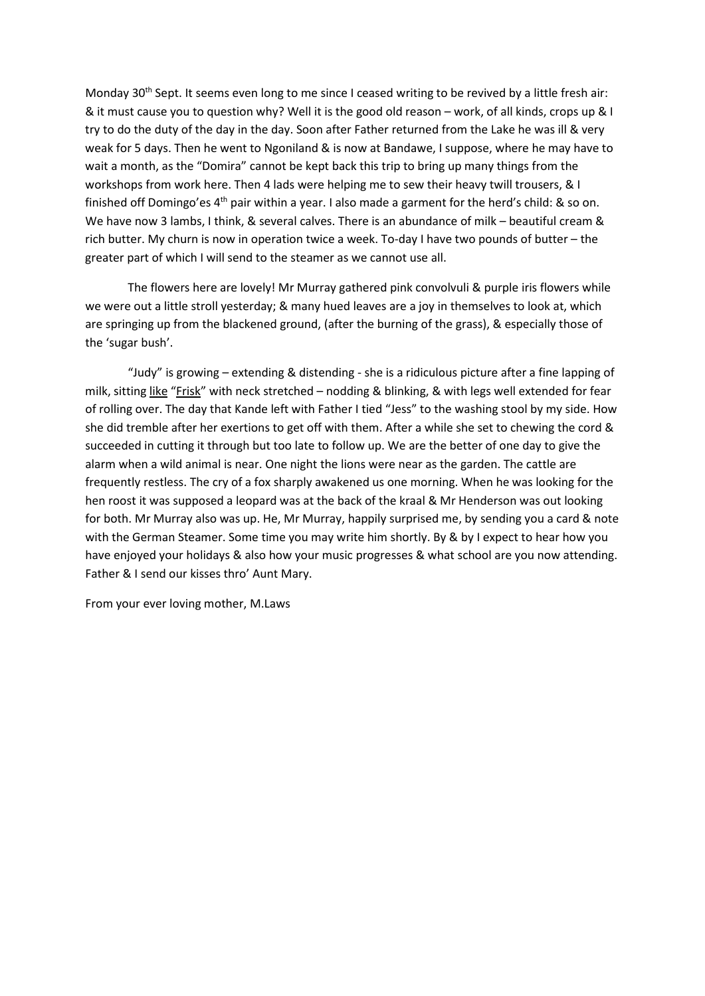Monday 30<sup>th</sup> Sept. It seems even long to me since I ceased writing to be revived by a little fresh air: & it must cause you to question why? Well it is the good old reason – work, of all kinds, crops up & I try to do the duty of the day in the day. Soon after Father returned from the Lake he was ill & very weak for 5 days. Then he went to Ngoniland & is now at Bandawe, I suppose, where he may have to wait a month, as the "Domira" cannot be kept back this trip to bring up many things from the workshops from work here. Then 4 lads were helping me to sew their heavy twill trousers, & I finished off Domingo'es  $4<sup>th</sup>$  pair within a year. I also made a garment for the herd's child: & so on. We have now 3 lambs, I think, & several calves. There is an abundance of milk – beautiful cream & rich butter. My churn is now in operation twice a week. To-day I have two pounds of butter – the greater part of which I will send to the steamer as we cannot use all.

The flowers here are lovely! Mr Murray gathered pink convolvuli & purple iris flowers while we were out a little stroll yesterday; & many hued leaves are a joy in themselves to look at, which are springing up from the blackened ground, (after the burning of the grass), & especially those of the 'sugar bush'.

"Judy" is growing – extending & distending - she is a ridiculous picture after a fine lapping of milk, sitting like "Frisk" with neck stretched – nodding & blinking, & with legs well extended for fear of rolling over. The day that Kande left with Father I tied "Jess" to the washing stool by my side. How she did tremble after her exertions to get off with them. After a while she set to chewing the cord & succeeded in cutting it through but too late to follow up. We are the better of one day to give the alarm when a wild animal is near. One night the lions were near as the garden. The cattle are frequently restless. The cry of a fox sharply awakened us one morning. When he was looking for the hen roost it was supposed a leopard was at the back of the kraal & Mr Henderson was out looking for both. Mr Murray also was up. He, Mr Murray, happily surprised me, by sending you a card & note with the German Steamer. Some time you may write him shortly. By & by I expect to hear how you have enjoyed your holidays & also how your music progresses & what school are you now attending. Father & I send our kisses thro' Aunt Mary.

From your ever loving mother, M.Laws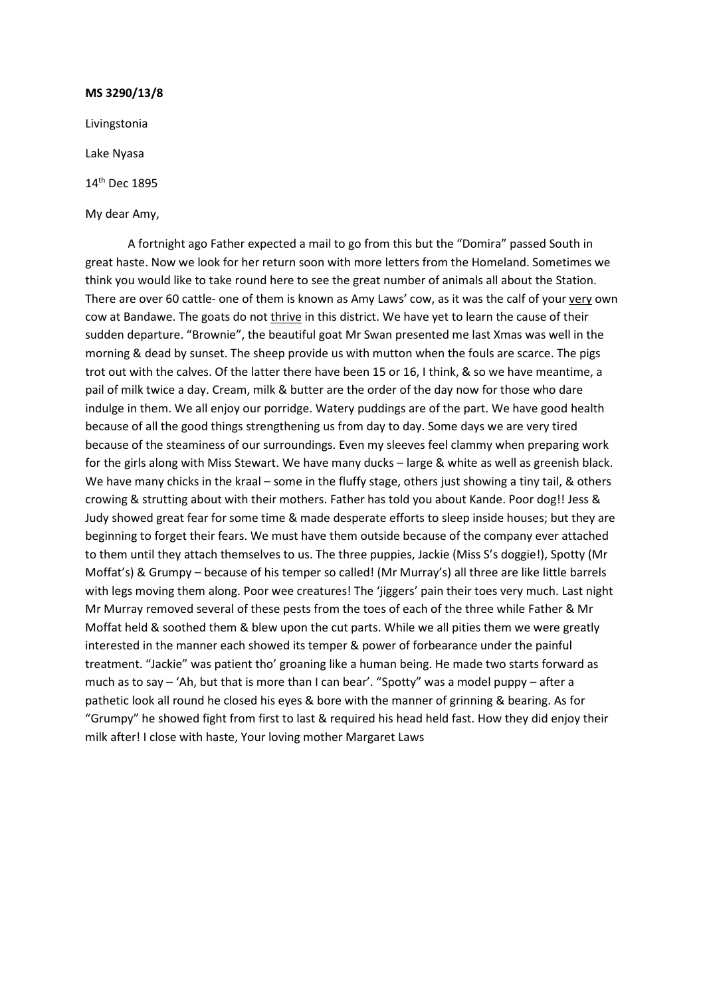Livingstonia

Lake Nyasa

14th Dec 1895

My dear Amy,

A fortnight ago Father expected a mail to go from this but the "Domira" passed South in great haste. Now we look for her return soon with more letters from the Homeland. Sometimes we think you would like to take round here to see the great number of animals all about the Station. There are over 60 cattle- one of them is known as Amy Laws' cow, as it was the calf of your very own cow at Bandawe. The goats do not thrive in this district. We have yet to learn the cause of their sudden departure. "Brownie", the beautiful goat Mr Swan presented me last Xmas was well in the morning & dead by sunset. The sheep provide us with mutton when the fouls are scarce. The pigs trot out with the calves. Of the latter there have been 15 or 16, I think, & so we have meantime, a pail of milk twice a day. Cream, milk & butter are the order of the day now for those who dare indulge in them. We all enjoy our porridge. Watery puddings are of the part. We have good health because of all the good things strengthening us from day to day. Some days we are very tired because of the steaminess of our surroundings. Even my sleeves feel clammy when preparing work for the girls along with Miss Stewart. We have many ducks – large & white as well as greenish black. We have many chicks in the kraal – some in the fluffy stage, others just showing a tiny tail, & others crowing & strutting about with their mothers. Father has told you about Kande. Poor dog!! Jess & Judy showed great fear for some time & made desperate efforts to sleep inside houses; but they are beginning to forget their fears. We must have them outside because of the company ever attached to them until they attach themselves to us. The three puppies, Jackie (Miss S's doggie!), Spotty (Mr Moffat's) & Grumpy – because of his temper so called! (Mr Murray's) all three are like little barrels with legs moving them along. Poor wee creatures! The 'jiggers' pain their toes very much. Last night Mr Murray removed several of these pests from the toes of each of the three while Father & Mr Moffat held & soothed them & blew upon the cut parts. While we all pities them we were greatly interested in the manner each showed its temper & power of forbearance under the painful treatment. "Jackie" was patient tho' groaning like a human being. He made two starts forward as much as to say – 'Ah, but that is more than I can bear'. "Spotty" was a model puppy – after a pathetic look all round he closed his eyes & bore with the manner of grinning & bearing. As for "Grumpy" he showed fight from first to last & required his head held fast. How they did enjoy their milk after! I close with haste, Your loving mother Margaret Laws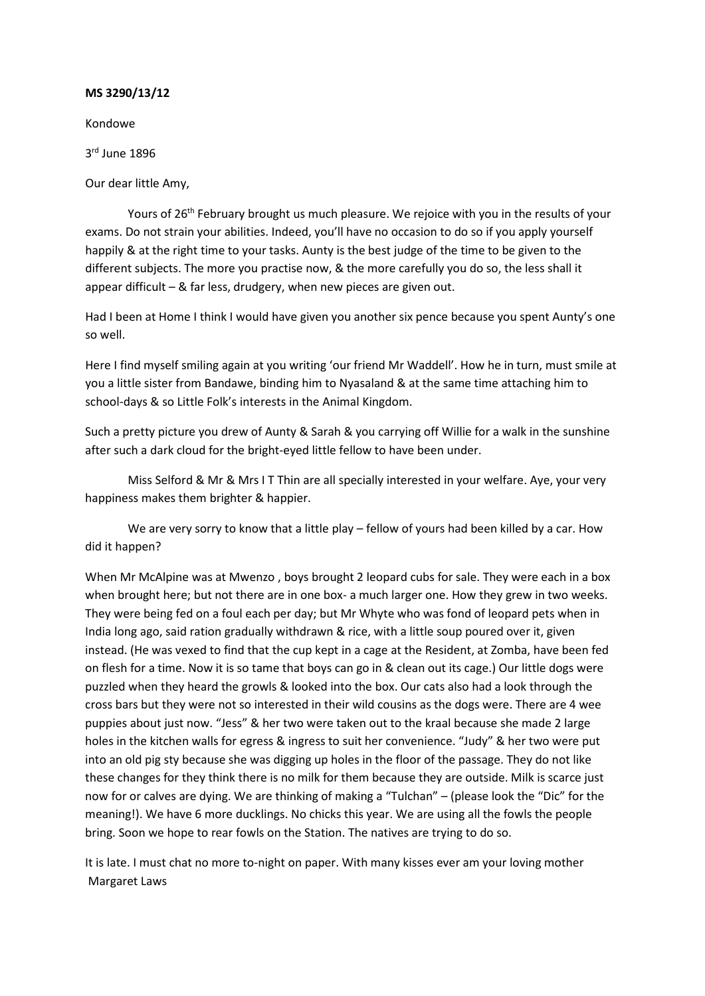Kondowe

3rd June 1896

Our dear little Amy,

Yours of 26<sup>th</sup> February brought us much pleasure. We rejoice with you in the results of your exams. Do not strain your abilities. Indeed, you'll have no occasion to do so if you apply yourself happily & at the right time to your tasks. Aunty is the best judge of the time to be given to the different subjects. The more you practise now, & the more carefully you do so, the less shall it appear difficult – & far less, drudgery, when new pieces are given out.

Had I been at Home I think I would have given you another six pence because you spent Aunty's one so well.

Here I find myself smiling again at you writing 'our friend Mr Waddell'. How he in turn, must smile at you a little sister from Bandawe, binding him to Nyasaland & at the same time attaching him to school-days & so Little Folk's interests in the Animal Kingdom.

Such a pretty picture you drew of Aunty & Sarah & you carrying off Willie for a walk in the sunshine after such a dark cloud for the bright-eyed little fellow to have been under.

Miss Selford & Mr & Mrs I T Thin are all specially interested in your welfare. Aye, your very happiness makes them brighter & happier.

We are very sorry to know that a little play – fellow of yours had been killed by a car. How did it happen?

When Mr McAlpine was at Mwenzo , boys brought 2 leopard cubs for sale. They were each in a box when brought here; but not there are in one box- a much larger one. How they grew in two weeks. They were being fed on a foul each per day; but Mr Whyte who was fond of leopard pets when in India long ago, said ration gradually withdrawn & rice, with a little soup poured over it, given instead. (He was vexed to find that the cup kept in a cage at the Resident, at Zomba, have been fed on flesh for a time. Now it is so tame that boys can go in & clean out its cage.) Our little dogs were puzzled when they heard the growls & looked into the box. Our cats also had a look through the cross bars but they were not so interested in their wild cousins as the dogs were. There are 4 wee puppies about just now. "Jess" & her two were taken out to the kraal because she made 2 large holes in the kitchen walls for egress & ingress to suit her convenience. "Judy" & her two were put into an old pig sty because she was digging up holes in the floor of the passage. They do not like these changes for they think there is no milk for them because they are outside. Milk is scarce just now for or calves are dying. We are thinking of making a "Tulchan" – (please look the "Dic" for the meaning!). We have 6 more ducklings. No chicks this year. We are using all the fowls the people bring. Soon we hope to rear fowls on the Station. The natives are trying to do so.

It is late. I must chat no more to-night on paper. With many kisses ever am your loving mother Margaret Laws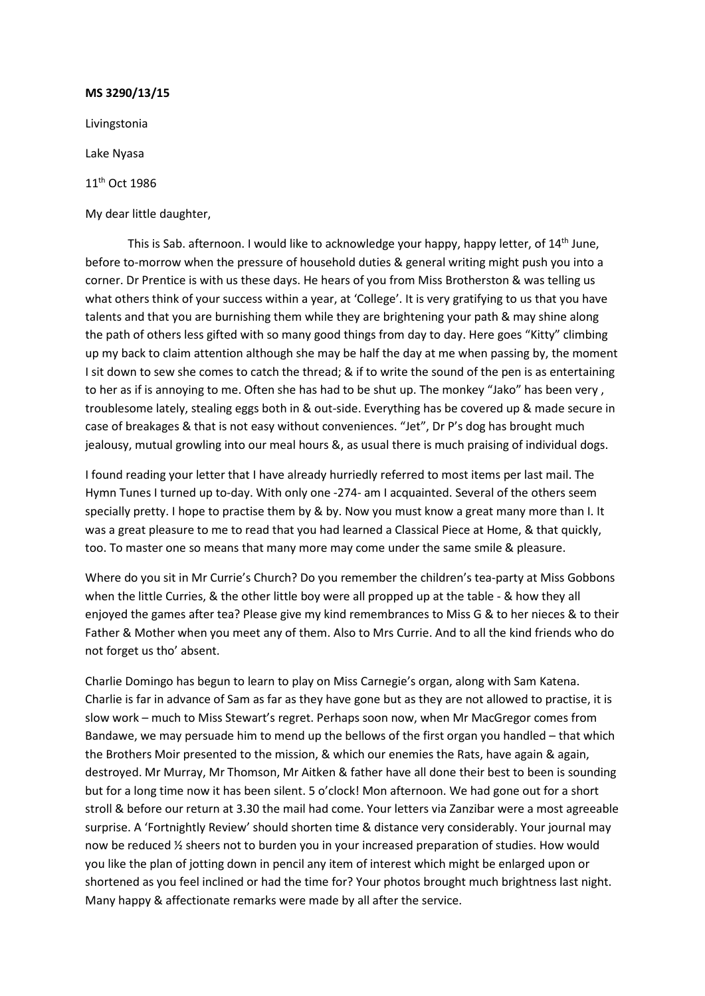Livingstonia

Lake Nyasa

11th Oct 1986

My dear little daughter,

This is Sab. afternoon. I would like to acknowledge your happy, happy letter, of 14<sup>th</sup> June, before to-morrow when the pressure of household duties & general writing might push you into a corner. Dr Prentice is with us these days. He hears of you from Miss Brotherston & was telling us what others think of your success within a year, at 'College'. It is very gratifying to us that you have talents and that you are burnishing them while they are brightening your path & may shine along the path of others less gifted with so many good things from day to day. Here goes "Kitty" climbing up my back to claim attention although she may be half the day at me when passing by, the moment I sit down to sew she comes to catch the thread; & if to write the sound of the pen is as entertaining to her as if is annoying to me. Often she has had to be shut up. The monkey "Jako" has been very , troublesome lately, stealing eggs both in & out-side. Everything has be covered up & made secure in case of breakages & that is not easy without conveniences. "Jet", Dr P's dog has brought much jealousy, mutual growling into our meal hours &, as usual there is much praising of individual dogs.

I found reading your letter that I have already hurriedly referred to most items per last mail. The Hymn Tunes I turned up to-day. With only one -274- am I acquainted. Several of the others seem specially pretty. I hope to practise them by & by. Now you must know a great many more than I. It was a great pleasure to me to read that you had learned a Classical Piece at Home, & that quickly, too. To master one so means that many more may come under the same smile & pleasure.

Where do you sit in Mr Currie's Church? Do you remember the children's tea-party at Miss Gobbons when the little Curries, & the other little boy were all propped up at the table - & how they all enjoyed the games after tea? Please give my kind remembrances to Miss G & to her nieces & to their Father & Mother when you meet any of them. Also to Mrs Currie. And to all the kind friends who do not forget us tho' absent.

Charlie Domingo has begun to learn to play on Miss Carnegie's organ, along with Sam Katena. Charlie is far in advance of Sam as far as they have gone but as they are not allowed to practise, it is slow work – much to Miss Stewart's regret. Perhaps soon now, when Mr MacGregor comes from Bandawe, we may persuade him to mend up the bellows of the first organ you handled – that which the Brothers Moir presented to the mission, & which our enemies the Rats, have again & again, destroyed. Mr Murray, Mr Thomson, Mr Aitken & father have all done their best to been is sounding but for a long time now it has been silent. 5 o'clock! Mon afternoon. We had gone out for a short stroll & before our return at 3.30 the mail had come. Your letters via Zanzibar were a most agreeable surprise. A 'Fortnightly Review' should shorten time & distance very considerably. Your journal may now be reduced ½ sheers not to burden you in your increased preparation of studies. How would you like the plan of jotting down in pencil any item of interest which might be enlarged upon or shortened as you feel inclined or had the time for? Your photos brought much brightness last night. Many happy & affectionate remarks were made by all after the service.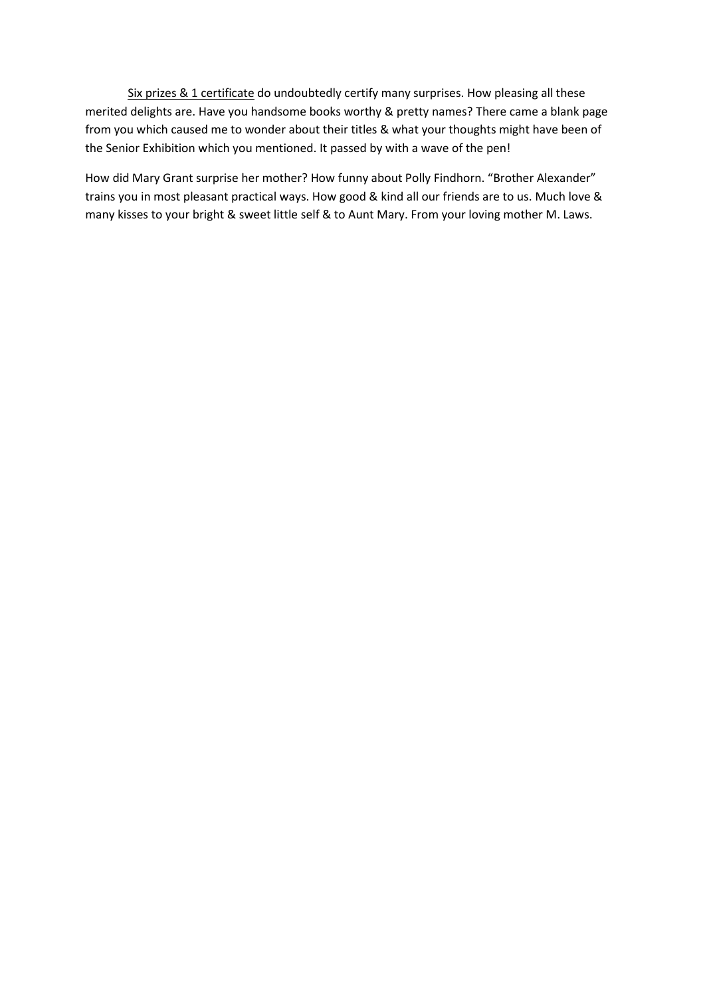Six prizes & 1 certificate do undoubtedly certify many surprises. How pleasing all these merited delights are. Have you handsome books worthy & pretty names? There came a blank page from you which caused me to wonder about their titles & what your thoughts might have been of the Senior Exhibition which you mentioned. It passed by with a wave of the pen!

How did Mary Grant surprise her mother? How funny about Polly Findhorn. "Brother Alexander" trains you in most pleasant practical ways. How good & kind all our friends are to us. Much love & many kisses to your bright & sweet little self & to Aunt Mary. From your loving mother M. Laws.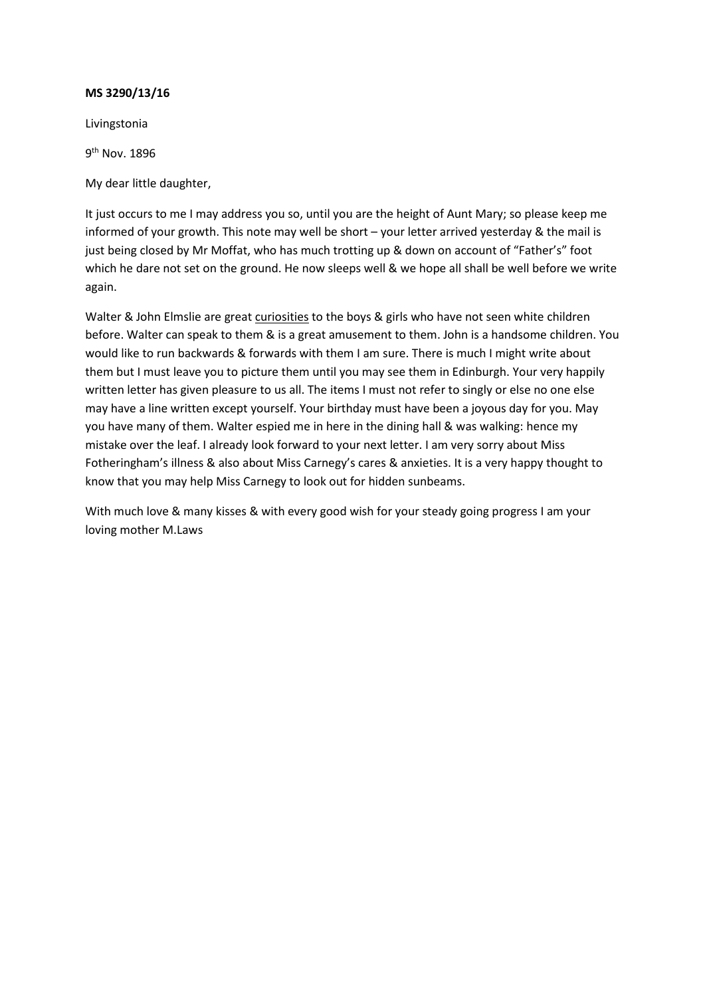Livingstonia

9th Nov. 1896

My dear little daughter,

It just occurs to me I may address you so, until you are the height of Aunt Mary; so please keep me informed of your growth. This note may well be short – your letter arrived yesterday & the mail is just being closed by Mr Moffat, who has much trotting up & down on account of "Father's" foot which he dare not set on the ground. He now sleeps well & we hope all shall be well before we write again.

Walter & John Elmslie are great curiosities to the boys & girls who have not seen white children before. Walter can speak to them & is a great amusement to them. John is a handsome children. You would like to run backwards & forwards with them I am sure. There is much I might write about them but I must leave you to picture them until you may see them in Edinburgh. Your very happily written letter has given pleasure to us all. The items I must not refer to singly or else no one else may have a line written except yourself. Your birthday must have been a joyous day for you. May you have many of them. Walter espied me in here in the dining hall & was walking: hence my mistake over the leaf. I already look forward to your next letter. I am very sorry about Miss Fotheringham's illness & also about Miss Carnegy's cares & anxieties. It is a very happy thought to know that you may help Miss Carnegy to look out for hidden sunbeams.

With much love & many kisses & with every good wish for your steady going progress I am your loving mother M.Laws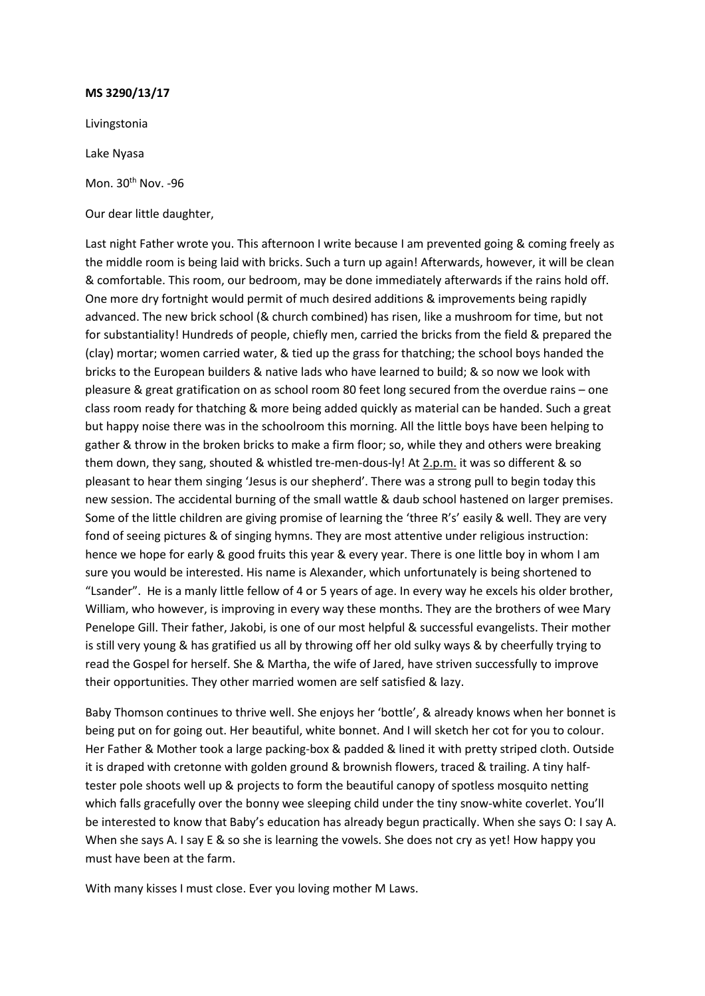Livingstonia

Lake Nyasa

Mon. 30<sup>th</sup> Nov. -96

Our dear little daughter,

Last night Father wrote you. This afternoon I write because I am prevented going & coming freely as the middle room is being laid with bricks. Such a turn up again! Afterwards, however, it will be clean & comfortable. This room, our bedroom, may be done immediately afterwards if the rains hold off. One more dry fortnight would permit of much desired additions & improvements being rapidly advanced. The new brick school (& church combined) has risen, like a mushroom for time, but not for substantiality! Hundreds of people, chiefly men, carried the bricks from the field & prepared the (clay) mortar; women carried water, & tied up the grass for thatching; the school boys handed the bricks to the European builders & native lads who have learned to build; & so now we look with pleasure & great gratification on as school room 80 feet long secured from the overdue rains – one class room ready for thatching & more being added quickly as material can be handed. Such a great but happy noise there was in the schoolroom this morning. All the little boys have been helping to gather & throw in the broken bricks to make a firm floor; so, while they and others were breaking them down, they sang, shouted & whistled tre-men-dous-ly! At 2.p.m. it was so different & so pleasant to hear them singing 'Jesus is our shepherd'. There was a strong pull to begin today this new session. The accidental burning of the small wattle & daub school hastened on larger premises. Some of the little children are giving promise of learning the 'three R's' easily & well. They are very fond of seeing pictures & of singing hymns. They are most attentive under religious instruction: hence we hope for early & good fruits this year & every year. There is one little boy in whom I am sure you would be interested. His name is Alexander, which unfortunately is being shortened to "Lsander". He is a manly little fellow of 4 or 5 years of age. In every way he excels his older brother, William, who however, is improving in every way these months. They are the brothers of wee Mary Penelope Gill. Their father, Jakobi, is one of our most helpful & successful evangelists. Their mother is still very young & has gratified us all by throwing off her old sulky ways & by cheerfully trying to read the Gospel for herself. She & Martha, the wife of Jared, have striven successfully to improve their opportunities. They other married women are self satisfied & lazy.

Baby Thomson continues to thrive well. She enjoys her 'bottle', & already knows when her bonnet is being put on for going out. Her beautiful, white bonnet. And I will sketch her cot for you to colour. Her Father & Mother took a large packing-box & padded & lined it with pretty striped cloth. Outside it is draped with cretonne with golden ground & brownish flowers, traced & trailing. A tiny halftester pole shoots well up & projects to form the beautiful canopy of spotless mosquito netting which falls gracefully over the bonny wee sleeping child under the tiny snow-white coverlet. You'll be interested to know that Baby's education has already begun practically. When she says O: I say A. When she says A. I say E & so she is learning the vowels. She does not cry as yet! How happy you must have been at the farm.

With many kisses I must close. Ever you loving mother M Laws.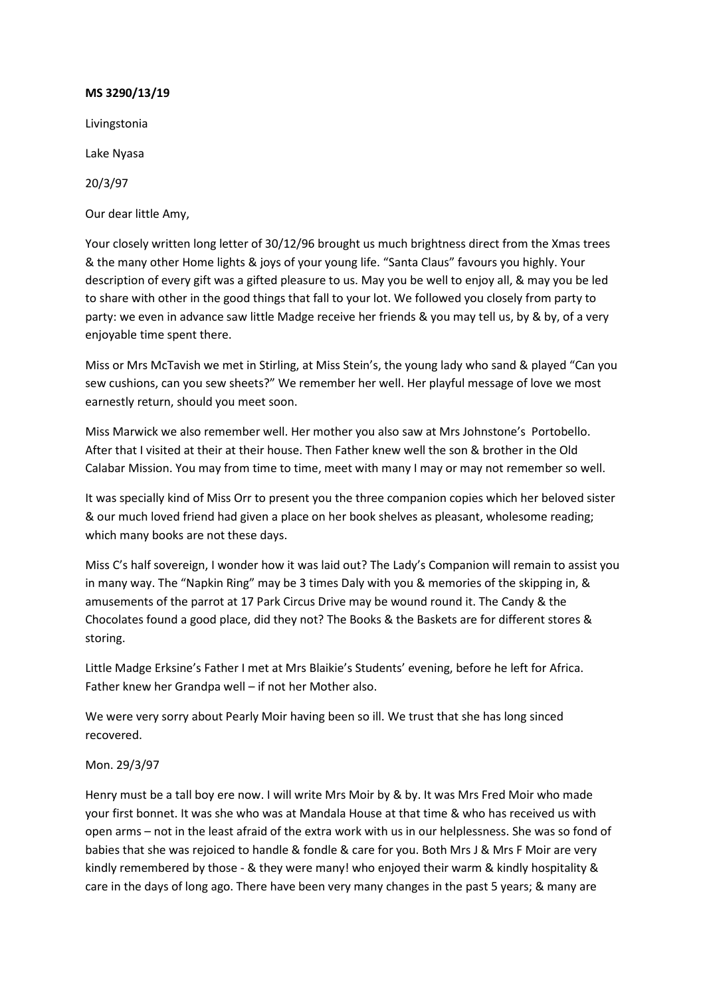Livingstonia

Lake Nyasa

20/3/97

Our dear little Amy,

Your closely written long letter of 30/12/96 brought us much brightness direct from the Xmas trees & the many other Home lights & joys of your young life. "Santa Claus" favours you highly. Your description of every gift was a gifted pleasure to us. May you be well to enjoy all, & may you be led to share with other in the good things that fall to your lot. We followed you closely from party to party: we even in advance saw little Madge receive her friends & you may tell us, by & by, of a very enjoyable time spent there.

Miss or Mrs McTavish we met in Stirling, at Miss Stein's, the young lady who sand & played "Can you sew cushions, can you sew sheets?" We remember her well. Her playful message of love we most earnestly return, should you meet soon.

Miss Marwick we also remember well. Her mother you also saw at Mrs Johnstone's Portobello. After that I visited at their at their house. Then Father knew well the son & brother in the Old Calabar Mission. You may from time to time, meet with many I may or may not remember so well.

It was specially kind of Miss Orr to present you the three companion copies which her beloved sister & our much loved friend had given a place on her book shelves as pleasant, wholesome reading; which many books are not these days.

Miss C's half sovereign, I wonder how it was laid out? The Lady's Companion will remain to assist you in many way. The "Napkin Ring" may be 3 times Daly with you & memories of the skipping in, & amusements of the parrot at 17 Park Circus Drive may be wound round it. The Candy & the Chocolates found a good place, did they not? The Books & the Baskets are for different stores & storing.

Little Madge Erksine's Father I met at Mrs Blaikie's Students' evening, before he left for Africa. Father knew her Grandpa well – if not her Mother also.

We were very sorry about Pearly Moir having been so ill. We trust that she has long sinced recovered.

# Mon. 29/3/97

Henry must be a tall boy ere now. I will write Mrs Moir by & by. It was Mrs Fred Moir who made your first bonnet. It was she who was at Mandala House at that time & who has received us with open arms – not in the least afraid of the extra work with us in our helplessness. She was so fond of babies that she was rejoiced to handle & fondle & care for you. Both Mrs J & Mrs F Moir are very kindly remembered by those - & they were many! who enjoyed their warm & kindly hospitality & care in the days of long ago. There have been very many changes in the past 5 years; & many are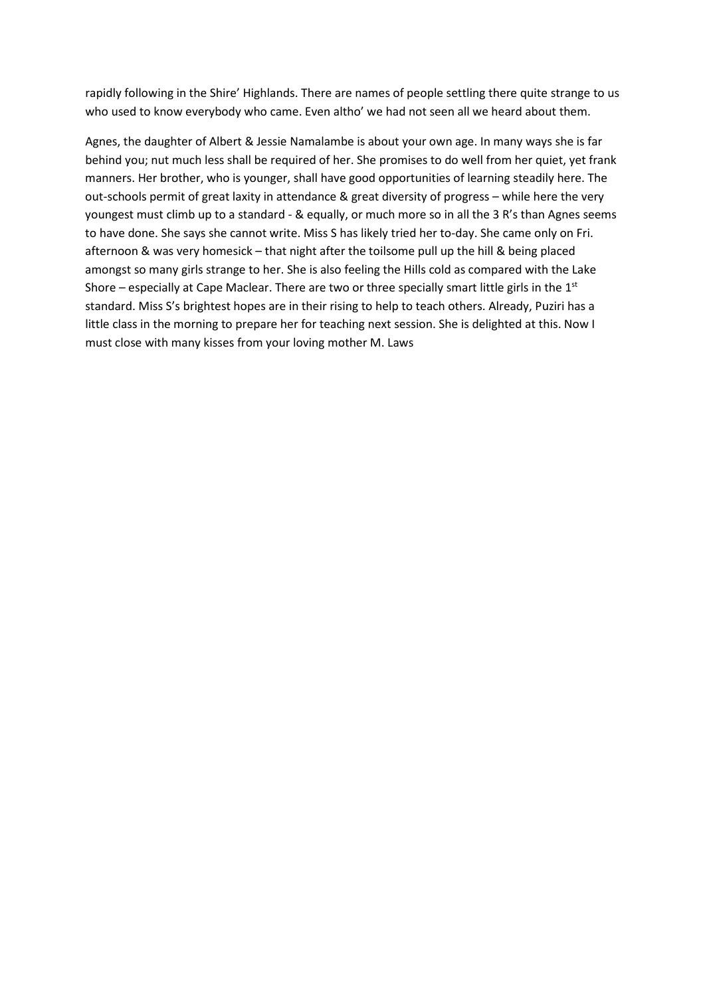rapidly following in the Shire' Highlands. There are names of people settling there quite strange to us who used to know everybody who came. Even altho' we had not seen all we heard about them.

Agnes, the daughter of Albert & Jessie Namalambe is about your own age. In many ways she is far behind you; nut much less shall be required of her. She promises to do well from her quiet, yet frank manners. Her brother, who is younger, shall have good opportunities of learning steadily here. The out-schools permit of great laxity in attendance & great diversity of progress – while here the very youngest must climb up to a standard - & equally, or much more so in all the 3 R's than Agnes seems to have done. She says she cannot write. Miss S has likely tried her to-day. She came only on Fri. afternoon & was very homesick – that night after the toilsome pull up the hill & being placed amongst so many girls strange to her. She is also feeling the Hills cold as compared with the Lake Shore – especially at Cape Maclear. There are two or three specially smart little girls in the  $1<sup>st</sup>$ standard. Miss S's brightest hopes are in their rising to help to teach others. Already, Puziri has a little class in the morning to prepare her for teaching next session. She is delighted at this. Now I must close with many kisses from your loving mother M. Laws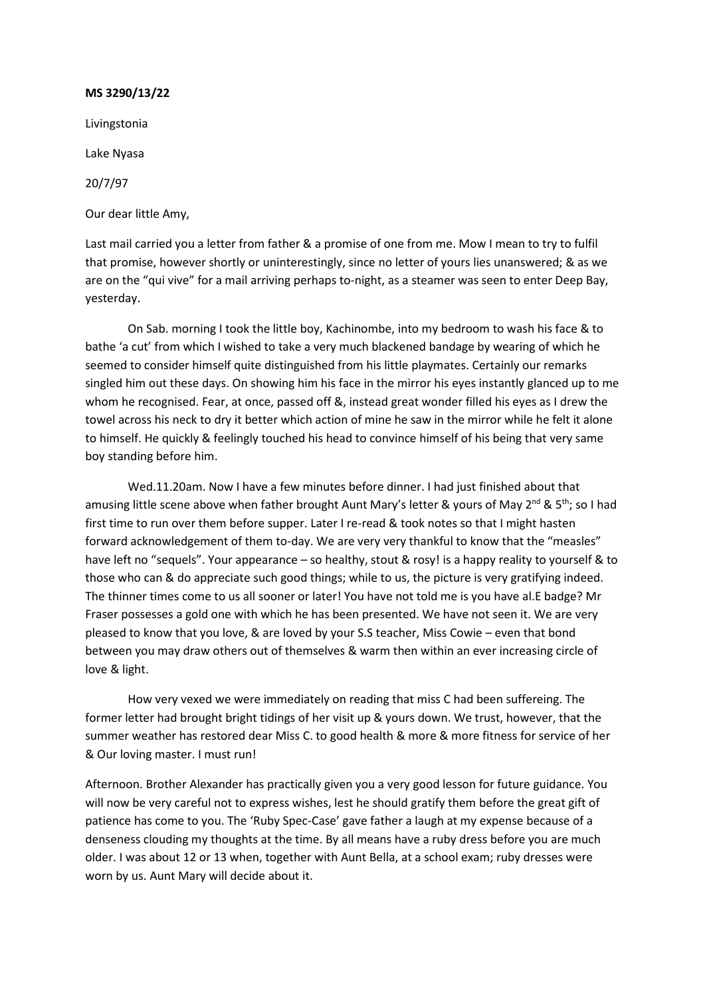Livingstonia Lake Nyasa 20/7/97

Our dear little Amy,

Last mail carried you a letter from father & a promise of one from me. Mow I mean to try to fulfil that promise, however shortly or uninterestingly, since no letter of yours lies unanswered; & as we are on the "qui vive" for a mail arriving perhaps to-night, as a steamer was seen to enter Deep Bay, yesterday.

On Sab. morning I took the little boy, Kachinombe, into my bedroom to wash his face & to bathe 'a cut' from which I wished to take a very much blackened bandage by wearing of which he seemed to consider himself quite distinguished from his little playmates. Certainly our remarks singled him out these days. On showing him his face in the mirror his eyes instantly glanced up to me whom he recognised. Fear, at once, passed off &, instead great wonder filled his eyes as I drew the towel across his neck to dry it better which action of mine he saw in the mirror while he felt it alone to himself. He quickly & feelingly touched his head to convince himself of his being that very same boy standing before him.

Wed.11.20am. Now I have a few minutes before dinner. I had just finished about that amusing little scene above when father brought Aunt Mary's letter & yours of May 2<sup>nd</sup> & 5<sup>th</sup>; so I had first time to run over them before supper. Later I re-read & took notes so that I might hasten forward acknowledgement of them to-day. We are very very thankful to know that the "measles" have left no "sequels". Your appearance – so healthy, stout & rosy! is a happy reality to yourself & to those who can & do appreciate such good things; while to us, the picture is very gratifying indeed. The thinner times come to us all sooner or later! You have not told me is you have al.E badge? Mr Fraser possesses a gold one with which he has been presented. We have not seen it. We are very pleased to know that you love, & are loved by your S.S teacher, Miss Cowie – even that bond between you may draw others out of themselves & warm then within an ever increasing circle of love & light.

How very vexed we were immediately on reading that miss C had been suffereing. The former letter had brought bright tidings of her visit up & yours down. We trust, however, that the summer weather has restored dear Miss C. to good health & more & more fitness for service of her & Our loving master. I must run!

Afternoon. Brother Alexander has practically given you a very good lesson for future guidance. You will now be very careful not to express wishes, lest he should gratify them before the great gift of patience has come to you. The 'Ruby Spec-Case' gave father a laugh at my expense because of a denseness clouding my thoughts at the time. By all means have a ruby dress before you are much older. I was about 12 or 13 when, together with Aunt Bella, at a school exam; ruby dresses were worn by us. Aunt Mary will decide about it.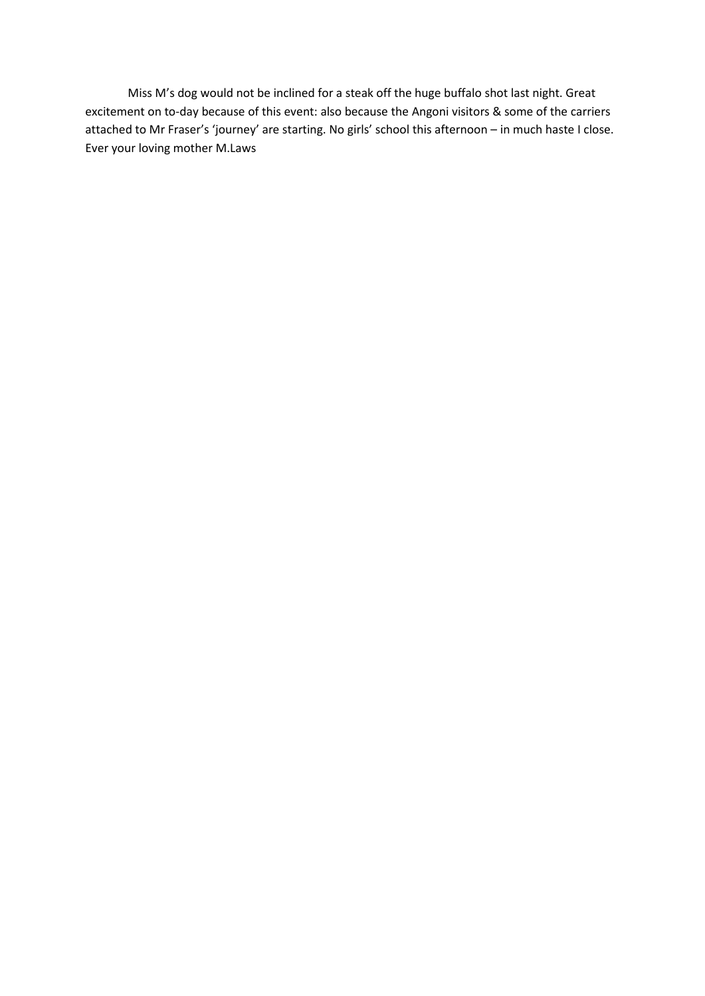Miss M's dog would not be inclined for a steak off the huge buffalo shot last night. Great excitement on to-day because of this event: also because the Angoni visitors & some of the carriers attached to Mr Fraser's 'journey' are starting. No girls' school this afternoon – in much haste I close. Ever your loving mother M.Laws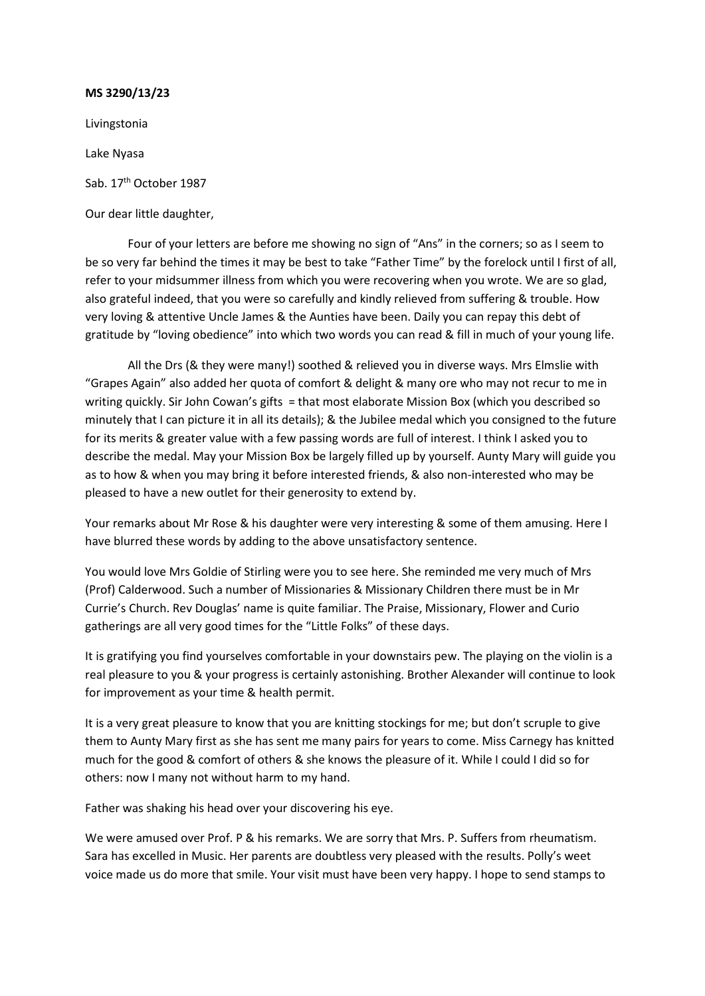Livingstonia

Lake Nyasa

Sab. 17<sup>th</sup> October 1987

Our dear little daughter,

Four of your letters are before me showing no sign of "Ans" in the corners; so as I seem to be so very far behind the times it may be best to take "Father Time" by the forelock until I first of all, refer to your midsummer illness from which you were recovering when you wrote. We are so glad, also grateful indeed, that you were so carefully and kindly relieved from suffering & trouble. How very loving & attentive Uncle James & the Aunties have been. Daily you can repay this debt of gratitude by "loving obedience" into which two words you can read & fill in much of your young life.

All the Drs (& they were many!) soothed & relieved you in diverse ways. Mrs Elmslie with "Grapes Again" also added her quota of comfort & delight & many ore who may not recur to me in writing quickly. Sir John Cowan's gifts = that most elaborate Mission Box (which you described so minutely that I can picture it in all its details); & the Jubilee medal which you consigned to the future for its merits & greater value with a few passing words are full of interest. I think I asked you to describe the medal. May your Mission Box be largely filled up by yourself. Aunty Mary will guide you as to how & when you may bring it before interested friends, & also non-interested who may be pleased to have a new outlet for their generosity to extend by.

Your remarks about Mr Rose & his daughter were very interesting & some of them amusing. Here I have blurred these words by adding to the above unsatisfactory sentence.

You would love Mrs Goldie of Stirling were you to see here. She reminded me very much of Mrs (Prof) Calderwood. Such a number of Missionaries & Missionary Children there must be in Mr Currie's Church. Rev Douglas' name is quite familiar. The Praise, Missionary, Flower and Curio gatherings are all very good times for the "Little Folks" of these days.

It is gratifying you find yourselves comfortable in your downstairs pew. The playing on the violin is a real pleasure to you & your progress is certainly astonishing. Brother Alexander will continue to look for improvement as your time & health permit.

It is a very great pleasure to know that you are knitting stockings for me; but don't scruple to give them to Aunty Mary first as she has sent me many pairs for years to come. Miss Carnegy has knitted much for the good & comfort of others & she knows the pleasure of it. While I could I did so for others: now I many not without harm to my hand.

Father was shaking his head over your discovering his eye.

We were amused over Prof. P & his remarks. We are sorry that Mrs. P. Suffers from rheumatism. Sara has excelled in Music. Her parents are doubtless very pleased with the results. Polly's weet voice made us do more that smile. Your visit must have been very happy. I hope to send stamps to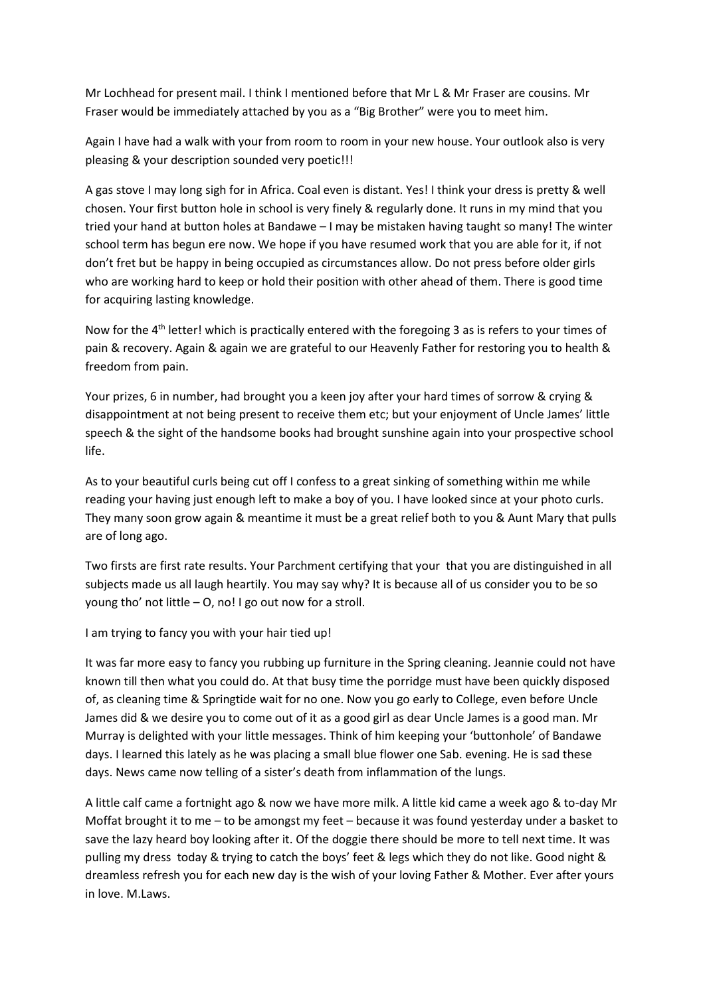Mr Lochhead for present mail. I think I mentioned before that Mr L & Mr Fraser are cousins. Mr Fraser would be immediately attached by you as a "Big Brother" were you to meet him.

Again I have had a walk with your from room to room in your new house. Your outlook also is very pleasing & your description sounded very poetic!!!

A gas stove I may long sigh for in Africa. Coal even is distant. Yes! I think your dress is pretty & well chosen. Your first button hole in school is very finely & regularly done. It runs in my mind that you tried your hand at button holes at Bandawe – I may be mistaken having taught so many! The winter school term has begun ere now. We hope if you have resumed work that you are able for it, if not don't fret but be happy in being occupied as circumstances allow. Do not press before older girls who are working hard to keep or hold their position with other ahead of them. There is good time for acquiring lasting knowledge.

Now for the 4<sup>th</sup> letter! which is practically entered with the foregoing 3 as is refers to your times of pain & recovery. Again & again we are grateful to our Heavenly Father for restoring you to health & freedom from pain.

Your prizes, 6 in number, had brought you a keen joy after your hard times of sorrow & crying & disappointment at not being present to receive them etc; but your enjoyment of Uncle James' little speech & the sight of the handsome books had brought sunshine again into your prospective school life.

As to your beautiful curls being cut off I confess to a great sinking of something within me while reading your having just enough left to make a boy of you. I have looked since at your photo curls. They many soon grow again & meantime it must be a great relief both to you & Aunt Mary that pulls are of long ago.

Two firsts are first rate results. Your Parchment certifying that your that you are distinguished in all subjects made us all laugh heartily. You may say why? It is because all of us consider you to be so young tho' not little – O, no! I go out now for a stroll.

I am trying to fancy you with your hair tied up!

It was far more easy to fancy you rubbing up furniture in the Spring cleaning. Jeannie could not have known till then what you could do. At that busy time the porridge must have been quickly disposed of, as cleaning time & Springtide wait for no one. Now you go early to College, even before Uncle James did & we desire you to come out of it as a good girl as dear Uncle James is a good man. Mr Murray is delighted with your little messages. Think of him keeping your 'buttonhole' of Bandawe days. I learned this lately as he was placing a small blue flower one Sab. evening. He is sad these days. News came now telling of a sister's death from inflammation of the lungs.

A little calf came a fortnight ago & now we have more milk. A little kid came a week ago & to-day Mr Moffat brought it to me – to be amongst my feet – because it was found yesterday under a basket to save the lazy heard boy looking after it. Of the doggie there should be more to tell next time. It was pulling my dress today & trying to catch the boys' feet & legs which they do not like. Good night & dreamless refresh you for each new day is the wish of your loving Father & Mother. Ever after yours in love. M.Laws.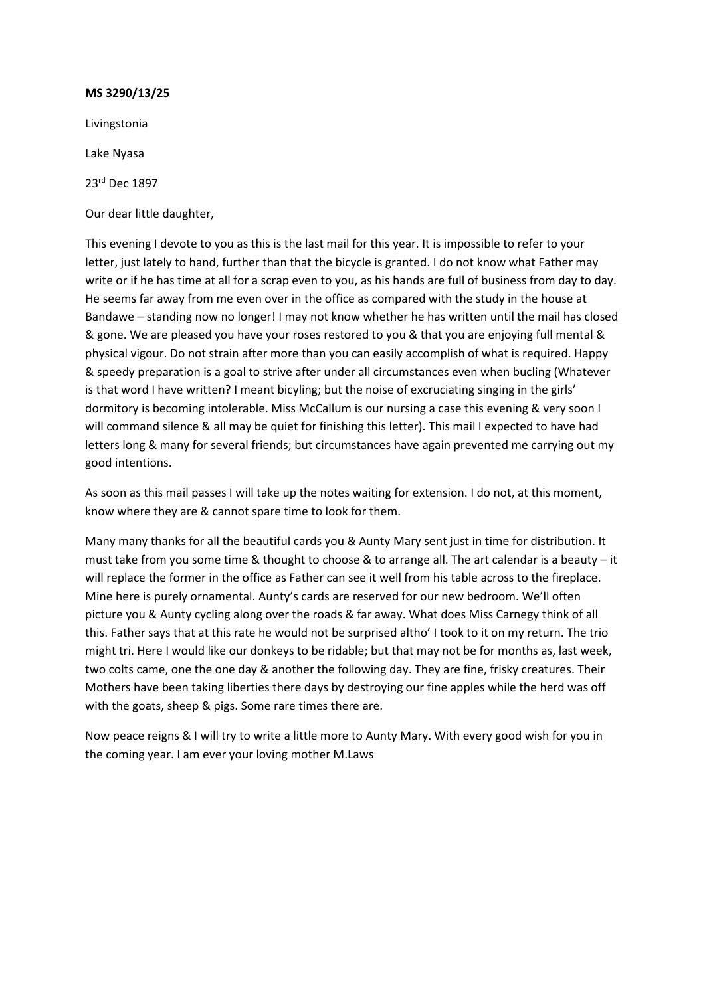Livingstonia

Lake Nyasa

23rd Dec 1897

Our dear little daughter,

This evening I devote to you as this is the last mail for this year. It is impossible to refer to your letter, just lately to hand, further than that the bicycle is granted. I do not know what Father may write or if he has time at all for a scrap even to you, as his hands are full of business from day to day. He seems far away from me even over in the office as compared with the study in the house at Bandawe – standing now no longer! I may not know whether he has written until the mail has closed & gone. We are pleased you have your roses restored to you & that you are enjoying full mental & physical vigour. Do not strain after more than you can easily accomplish of what is required. Happy & speedy preparation is a goal to strive after under all circumstances even when bucling (Whatever is that word I have written? I meant bicyling; but the noise of excruciating singing in the girls' dormitory is becoming intolerable. Miss McCallum is our nursing a case this evening & very soon I will command silence & all may be quiet for finishing this letter). This mail I expected to have had letters long & many for several friends; but circumstances have again prevented me carrying out my good intentions.

As soon as this mail passes I will take up the notes waiting for extension. I do not, at this moment, know where they are & cannot spare time to look for them.

Many many thanks for all the beautiful cards you & Aunty Mary sent just in time for distribution. It must take from you some time & thought to choose & to arrange all. The art calendar is a beauty – it will replace the former in the office as Father can see it well from his table across to the fireplace. Mine here is purely ornamental. Aunty's cards are reserved for our new bedroom. We'll often picture you & Aunty cycling along over the roads & far away. What does Miss Carnegy think of all this. Father says that at this rate he would not be surprised altho' I took to it on my return. The trio might tri. Here I would like our donkeys to be ridable; but that may not be for months as, last week, two colts came, one the one day & another the following day. They are fine, frisky creatures. Their Mothers have been taking liberties there days by destroying our fine apples while the herd was off with the goats, sheep & pigs. Some rare times there are.

Now peace reigns & I will try to write a little more to Aunty Mary. With every good wish for you in the coming year. I am ever your loving mother M.Laws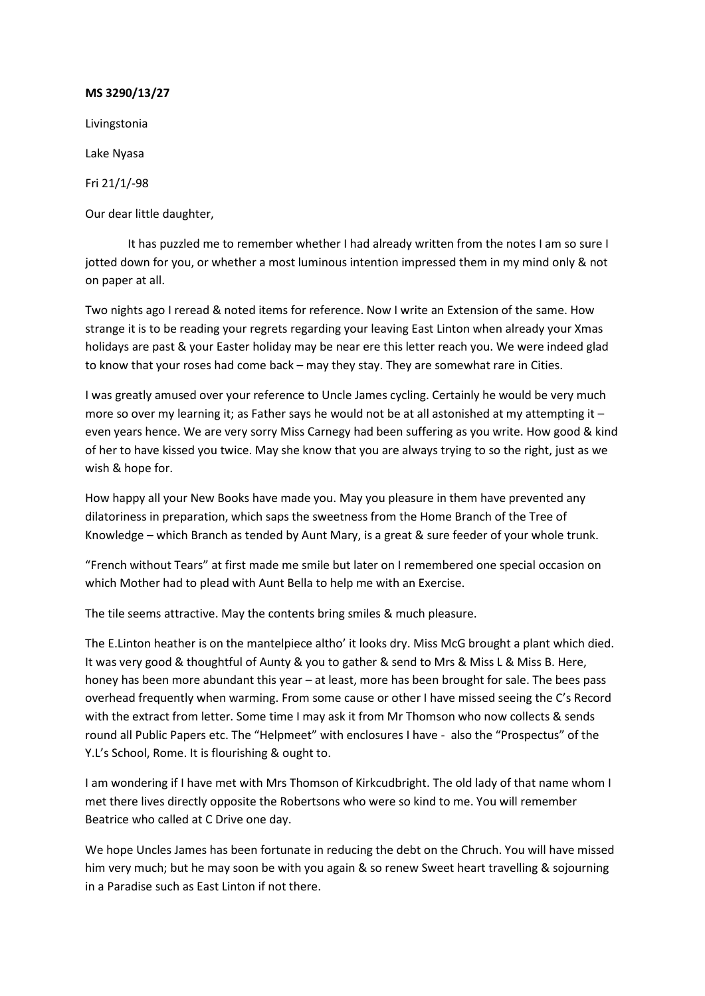Livingstonia

Lake Nyasa

Fri 21/1/-98

Our dear little daughter,

It has puzzled me to remember whether I had already written from the notes I am so sure I jotted down for you, or whether a most luminous intention impressed them in my mind only & not on paper at all.

Two nights ago I reread & noted items for reference. Now I write an Extension of the same. How strange it is to be reading your regrets regarding your leaving East Linton when already your Xmas holidays are past & your Easter holiday may be near ere this letter reach you. We were indeed glad to know that your roses had come back – may they stay. They are somewhat rare in Cities.

I was greatly amused over your reference to Uncle James cycling. Certainly he would be very much more so over my learning it; as Father says he would not be at all astonished at my attempting it even years hence. We are very sorry Miss Carnegy had been suffering as you write. How good & kind of her to have kissed you twice. May she know that you are always trying to so the right, just as we wish & hope for.

How happy all your New Books have made you. May you pleasure in them have prevented any dilatoriness in preparation, which saps the sweetness from the Home Branch of the Tree of Knowledge – which Branch as tended by Aunt Mary, is a great & sure feeder of your whole trunk.

"French without Tears" at first made me smile but later on I remembered one special occasion on which Mother had to plead with Aunt Bella to help me with an Exercise.

The tile seems attractive. May the contents bring smiles & much pleasure.

The E.Linton heather is on the mantelpiece altho' it looks dry. Miss McG brought a plant which died. It was very good & thoughtful of Aunty & you to gather & send to Mrs & Miss L & Miss B. Here, honey has been more abundant this year – at least, more has been brought for sale. The bees pass overhead frequently when warming. From some cause or other I have missed seeing the C's Record with the extract from letter. Some time I may ask it from Mr Thomson who now collects & sends round all Public Papers etc. The "Helpmeet" with enclosures I have - also the "Prospectus" of the Y.L's School, Rome. It is flourishing & ought to.

I am wondering if I have met with Mrs Thomson of Kirkcudbright. The old lady of that name whom I met there lives directly opposite the Robertsons who were so kind to me. You will remember Beatrice who called at C Drive one day.

We hope Uncles James has been fortunate in reducing the debt on the Chruch. You will have missed him very much; but he may soon be with you again & so renew Sweet heart travelling & sojourning in a Paradise such as East Linton if not there.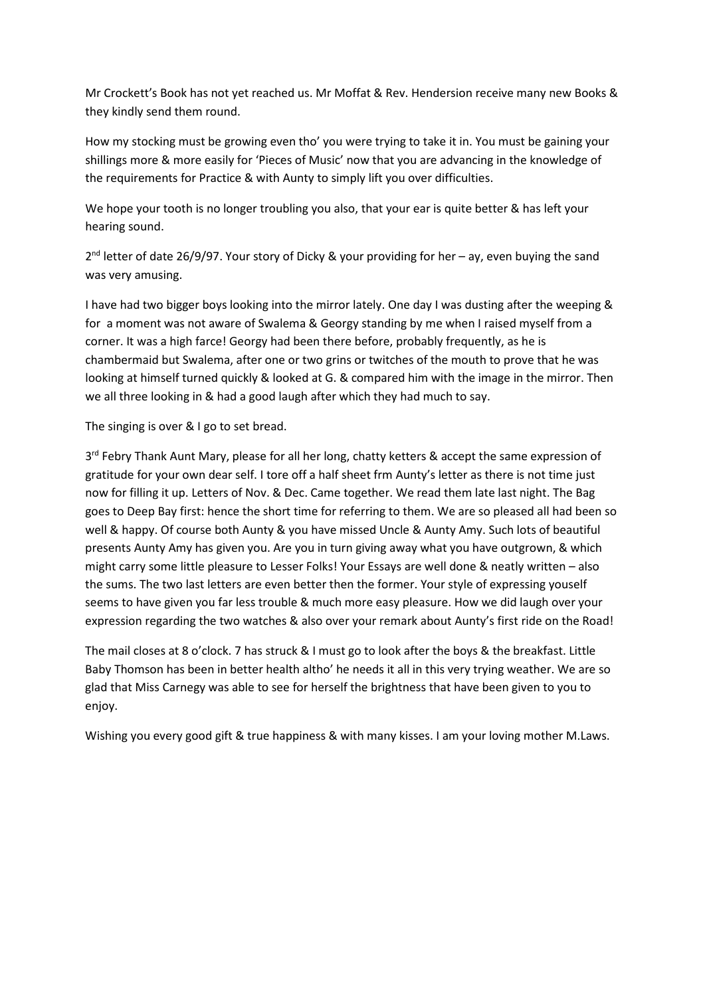Mr Crockett's Book has not yet reached us. Mr Moffat & Rev. Hendersion receive many new Books & they kindly send them round.

How my stocking must be growing even tho' you were trying to take it in. You must be gaining your shillings more & more easily for 'Pieces of Music' now that you are advancing in the knowledge of the requirements for Practice & with Aunty to simply lift you over difficulties.

We hope your tooth is no longer troubling you also, that your ear is quite better & has left your hearing sound.

2<sup>nd</sup> letter of date 26/9/97. Your story of Dicky & your providing for her - ay, even buying the sand was very amusing.

I have had two bigger boys looking into the mirror lately. One day I was dusting after the weeping & for a moment was not aware of Swalema & Georgy standing by me when I raised myself from a corner. It was a high farce! Georgy had been there before, probably frequently, as he is chambermaid but Swalema, after one or two grins or twitches of the mouth to prove that he was looking at himself turned quickly & looked at G. & compared him with the image in the mirror. Then we all three looking in & had a good laugh after which they had much to say.

The singing is over & I go to set bread.

3rd Febry Thank Aunt Mary, please for all her long, chatty ketters & accept the same expression of gratitude for your own dear self. I tore off a half sheet frm Aunty's letter as there is not time just now for filling it up. Letters of Nov. & Dec. Came together. We read them late last night. The Bag goes to Deep Bay first: hence the short time for referring to them. We are so pleased all had been so well & happy. Of course both Aunty & you have missed Uncle & Aunty Amy. Such lots of beautiful presents Aunty Amy has given you. Are you in turn giving away what you have outgrown, & which might carry some little pleasure to Lesser Folks! Your Essays are well done & neatly written – also the sums. The two last letters are even better then the former. Your style of expressing youself seems to have given you far less trouble & much more easy pleasure. How we did laugh over your expression regarding the two watches & also over your remark about Aunty's first ride on the Road!

The mail closes at 8 o'clock. 7 has struck & I must go to look after the boys & the breakfast. Little Baby Thomson has been in better health altho' he needs it all in this very trying weather. We are so glad that Miss Carnegy was able to see for herself the brightness that have been given to you to enjoy.

Wishing you every good gift & true happiness & with many kisses. I am your loving mother M.Laws.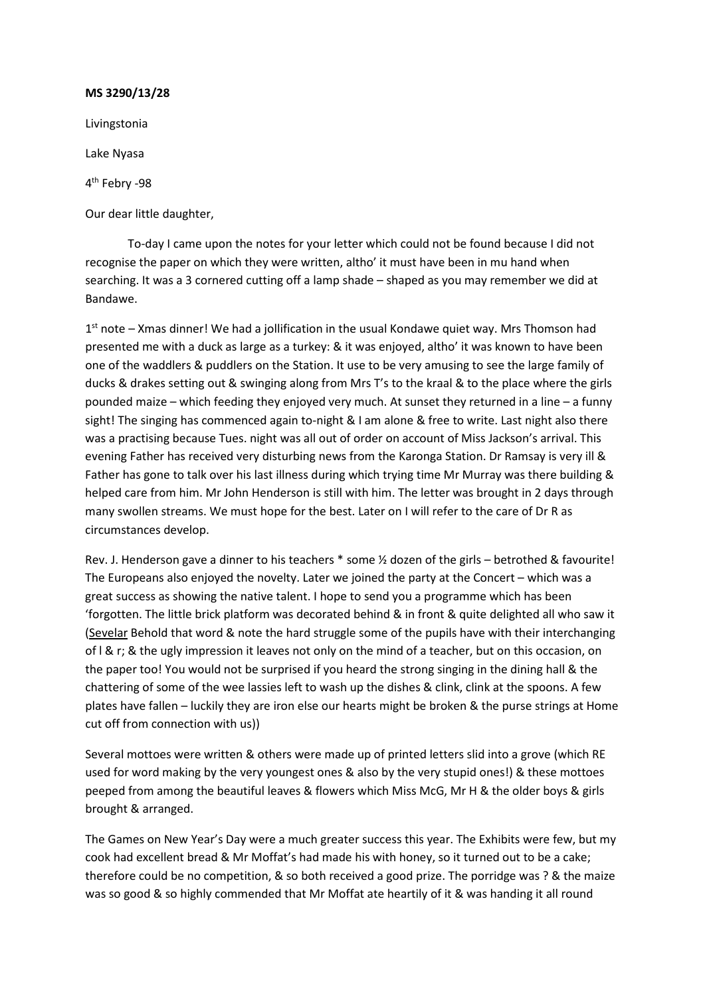Livingstonia

Lake Nyasa

4th Febry -98

Our dear little daughter,

To-day I came upon the notes for your letter which could not be found because I did not recognise the paper on which they were written, altho' it must have been in mu hand when searching. It was a 3 cornered cutting off a lamp shade – shaped as you may remember we did at Bandawe.

 $1<sup>st</sup>$  note – Xmas dinner! We had a jollification in the usual Kondawe quiet way. Mrs Thomson had presented me with a duck as large as a turkey: & it was enjoyed, altho' it was known to have been one of the waddlers & puddlers on the Station. It use to be very amusing to see the large family of ducks & drakes setting out & swinging along from Mrs T's to the kraal & to the place where the girls pounded maize – which feeding they enjoyed very much. At sunset they returned in a line – a funny sight! The singing has commenced again to-night & I am alone & free to write. Last night also there was a practising because Tues. night was all out of order on account of Miss Jackson's arrival. This evening Father has received very disturbing news from the Karonga Station. Dr Ramsay is very ill & Father has gone to talk over his last illness during which trying time Mr Murray was there building & helped care from him. Mr John Henderson is still with him. The letter was brought in 2 days through many swollen streams. We must hope for the best. Later on I will refer to the care of Dr R as circumstances develop.

Rev. J. Henderson gave a dinner to his teachers \* some ½ dozen of the girls – betrothed & favourite! The Europeans also enjoyed the novelty. Later we joined the party at the Concert – which was a great success as showing the native talent. I hope to send you a programme which has been 'forgotten. The little brick platform was decorated behind & in front & quite delighted all who saw it (Sevelar Behold that word & note the hard struggle some of the pupils have with their interchanging of I & r; & the ugly impression it leaves not only on the mind of a teacher, but on this occasion, on the paper too! You would not be surprised if you heard the strong singing in the dining hall & the chattering of some of the wee lassies left to wash up the dishes & clink, clink at the spoons. A few plates have fallen – luckily they are iron else our hearts might be broken & the purse strings at Home cut off from connection with us))

Several mottoes were written & others were made up of printed letters slid into a grove (which RE used for word making by the very youngest ones & also by the very stupid ones!) & these mottoes peeped from among the beautiful leaves & flowers which Miss McG, Mr H & the older boys & girls brought & arranged.

The Games on New Year's Day were a much greater success this year. The Exhibits were few, but my cook had excellent bread & Mr Moffat's had made his with honey, so it turned out to be a cake; therefore could be no competition, & so both received a good prize. The porridge was ? & the maize was so good & so highly commended that Mr Moffat ate heartily of it & was handing it all round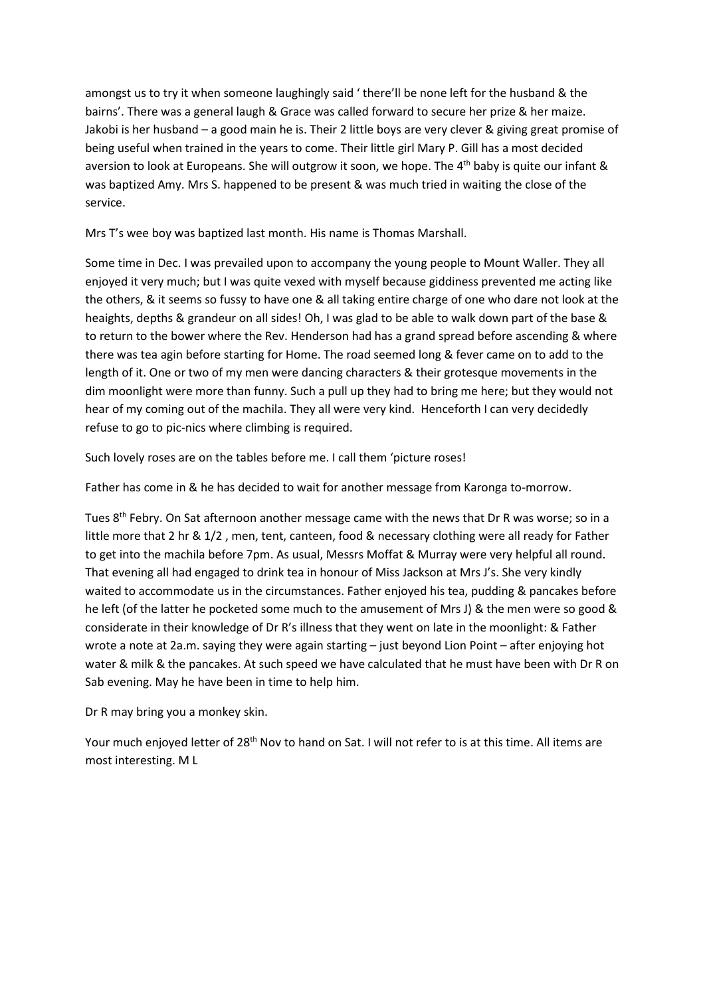amongst us to try it when someone laughingly said ' there'll be none left for the husband & the bairns'. There was a general laugh & Grace was called forward to secure her prize & her maize. Jakobi is her husband – a good main he is. Their 2 little boys are very clever & giving great promise of being useful when trained in the years to come. Their little girl Mary P. Gill has a most decided aversion to look at Europeans. She will outgrow it soon, we hope. The 4<sup>th</sup> baby is quite our infant & was baptized Amy. Mrs S. happened to be present & was much tried in waiting the close of the service.

Mrs T's wee boy was baptized last month. His name is Thomas Marshall.

Some time in Dec. I was prevailed upon to accompany the young people to Mount Waller. They all enjoyed it very much; but I was quite vexed with myself because giddiness prevented me acting like the others, & it seems so fussy to have one & all taking entire charge of one who dare not look at the heaights, depths & grandeur on all sides! Oh, I was glad to be able to walk down part of the base & to return to the bower where the Rev. Henderson had has a grand spread before ascending & where there was tea agin before starting for Home. The road seemed long & fever came on to add to the length of it. One or two of my men were dancing characters & their grotesque movements in the dim moonlight were more than funny. Such a pull up they had to bring me here; but they would not hear of my coming out of the machila. They all were very kind. Henceforth I can very decidedly refuse to go to pic-nics where climbing is required.

Such lovely roses are on the tables before me. I call them 'picture roses!

Father has come in & he has decided to wait for another message from Karonga to-morrow.

Tues 8th Febry. On Sat afternoon another message came with the news that Dr R was worse; so in a little more that 2 hr & 1/2 , men, tent, canteen, food & necessary clothing were all ready for Father to get into the machila before 7pm. As usual, Messrs Moffat & Murray were very helpful all round. That evening all had engaged to drink tea in honour of Miss Jackson at Mrs J's. She very kindly waited to accommodate us in the circumstances. Father enjoyed his tea, pudding & pancakes before he left (of the latter he pocketed some much to the amusement of Mrs J) & the men were so good & considerate in their knowledge of Dr R's illness that they went on late in the moonlight: & Father wrote a note at 2a.m. saying they were again starting – just beyond Lion Point – after enjoying hot water & milk & the pancakes. At such speed we have calculated that he must have been with Dr R on Sab evening. May he have been in time to help him.

Dr R may bring you a monkey skin.

Your much enjoyed letter of 28<sup>th</sup> Nov to hand on Sat. I will not refer to is at this time. All items are most interesting. M L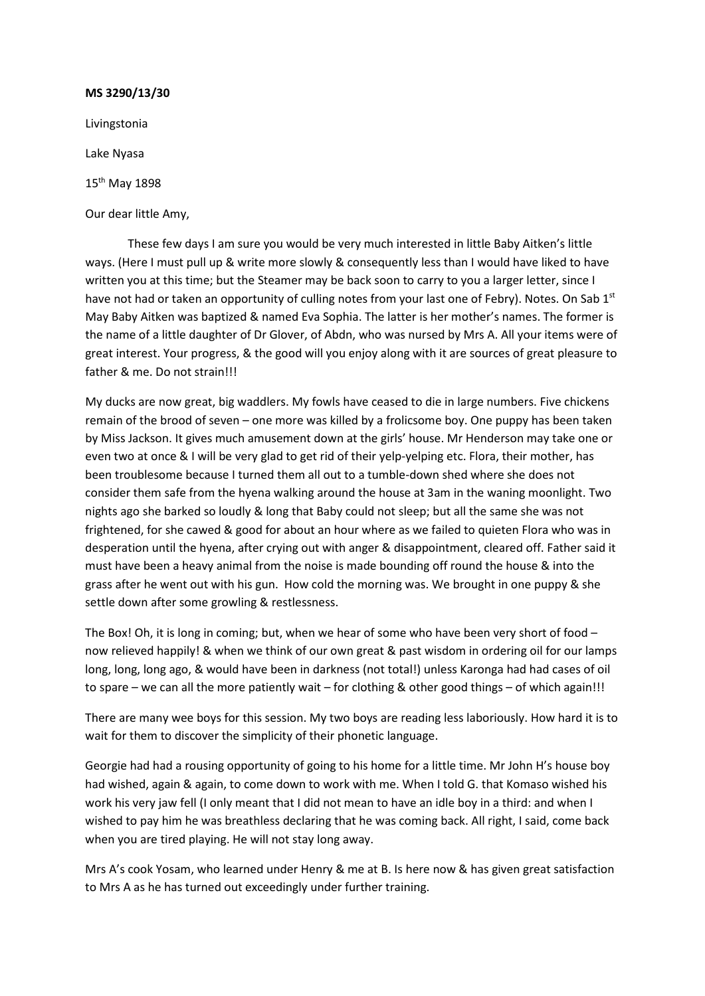Livingstonia Lake Nyasa 15th May 1898

Our dear little Amy,

These few days I am sure you would be very much interested in little Baby Aitken's little ways. (Here I must pull up & write more slowly & consequently less than I would have liked to have written you at this time; but the Steamer may be back soon to carry to you a larger letter, since I have not had or taken an opportunity of culling notes from your last one of Febry). Notes. On Sab 1<sup>st</sup> May Baby Aitken was baptized & named Eva Sophia. The latter is her mother's names. The former is the name of a little daughter of Dr Glover, of Abdn, who was nursed by Mrs A. All your items were of great interest. Your progress, & the good will you enjoy along with it are sources of great pleasure to father & me. Do not strain!!!

My ducks are now great, big waddlers. My fowls have ceased to die in large numbers. Five chickens remain of the brood of seven – one more was killed by a frolicsome boy. One puppy has been taken by Miss Jackson. It gives much amusement down at the girls' house. Mr Henderson may take one or even two at once & I will be very glad to get rid of their yelp-yelping etc. Flora, their mother, has been troublesome because I turned them all out to a tumble-down shed where she does not consider them safe from the hyena walking around the house at 3am in the waning moonlight. Two nights ago she barked so loudly & long that Baby could not sleep; but all the same she was not frightened, for she cawed & good for about an hour where as we failed to quieten Flora who was in desperation until the hyena, after crying out with anger & disappointment, cleared off. Father said it must have been a heavy animal from the noise is made bounding off round the house & into the grass after he went out with his gun. How cold the morning was. We brought in one puppy & she settle down after some growling & restlessness.

The Box! Oh, it is long in coming; but, when we hear of some who have been very short of food – now relieved happily! & when we think of our own great & past wisdom in ordering oil for our lamps long, long, long ago, & would have been in darkness (not total!) unless Karonga had had cases of oil to spare – we can all the more patiently wait – for clothing & other good things – of which again!!!

There are many wee boys for this session. My two boys are reading less laboriously. How hard it is to wait for them to discover the simplicity of their phonetic language.

Georgie had had a rousing opportunity of going to his home for a little time. Mr John H's house boy had wished, again & again, to come down to work with me. When I told G. that Komaso wished his work his very jaw fell (I only meant that I did not mean to have an idle boy in a third: and when I wished to pay him he was breathless declaring that he was coming back. All right, I said, come back when you are tired playing. He will not stay long away.

Mrs A's cook Yosam, who learned under Henry & me at B. Is here now & has given great satisfaction to Mrs A as he has turned out exceedingly under further training.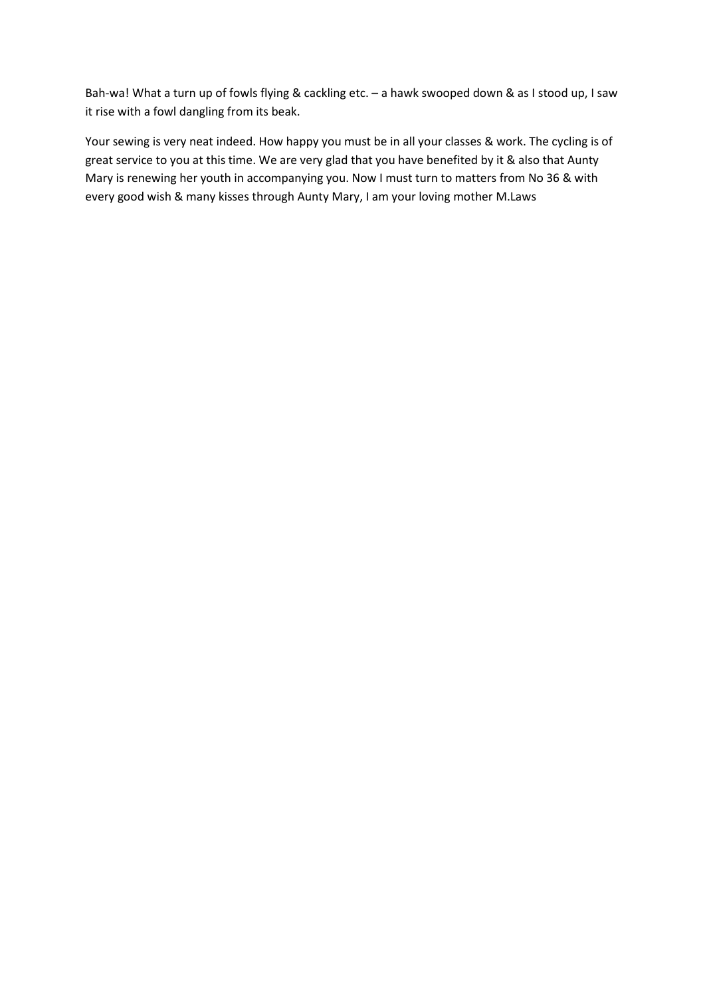Bah-wa! What a turn up of fowls flying & cackling etc. – a hawk swooped down & as I stood up, I saw it rise with a fowl dangling from its beak.

Your sewing is very neat indeed. How happy you must be in all your classes & work. The cycling is of great service to you at this time. We are very glad that you have benefited by it & also that Aunty Mary is renewing her youth in accompanying you. Now I must turn to matters from No 36 & with every good wish & many kisses through Aunty Mary, I am your loving mother M.Laws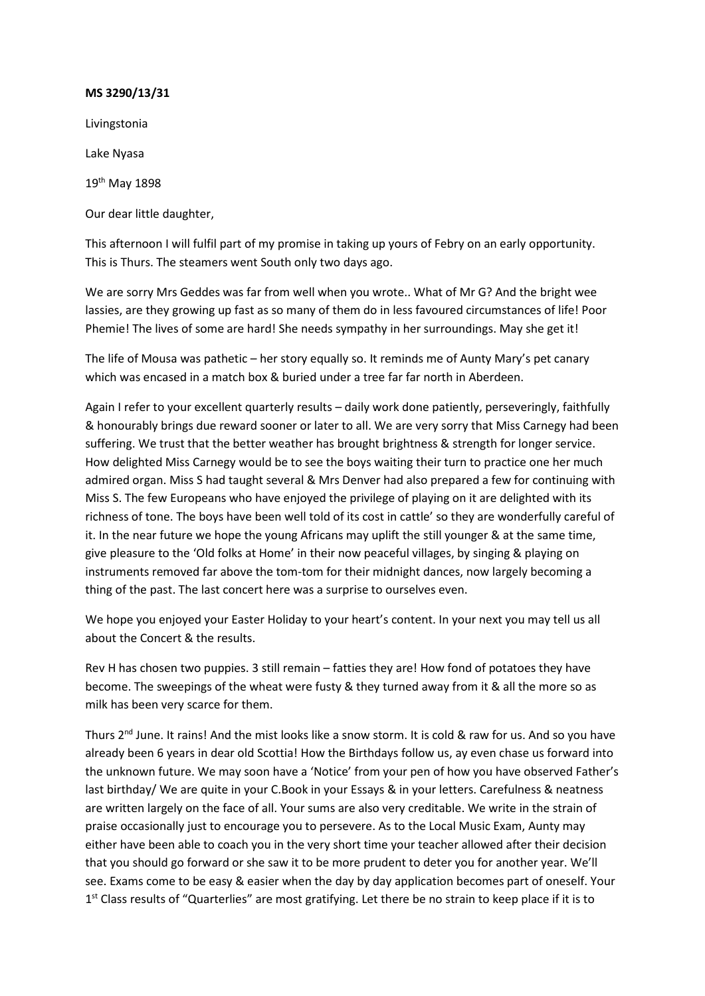Livingstonia

Lake Nyasa

19th May 1898

Our dear little daughter,

This afternoon I will fulfil part of my promise in taking up yours of Febry on an early opportunity. This is Thurs. The steamers went South only two days ago.

We are sorry Mrs Geddes was far from well when you wrote.. What of Mr G? And the bright wee lassies, are they growing up fast as so many of them do in less favoured circumstances of life! Poor Phemie! The lives of some are hard! She needs sympathy in her surroundings. May she get it!

The life of Mousa was pathetic – her story equally so. It reminds me of Aunty Mary's pet canary which was encased in a match box & buried under a tree far far north in Aberdeen.

Again I refer to your excellent quarterly results – daily work done patiently, perseveringly, faithfully & honourably brings due reward sooner or later to all. We are very sorry that Miss Carnegy had been suffering. We trust that the better weather has brought brightness & strength for longer service. How delighted Miss Carnegy would be to see the boys waiting their turn to practice one her much admired organ. Miss S had taught several & Mrs Denver had also prepared a few for continuing with Miss S. The few Europeans who have enjoyed the privilege of playing on it are delighted with its richness of tone. The boys have been well told of its cost in cattle' so they are wonderfully careful of it. In the near future we hope the young Africans may uplift the still younger & at the same time, give pleasure to the 'Old folks at Home' in their now peaceful villages, by singing & playing on instruments removed far above the tom-tom for their midnight dances, now largely becoming a thing of the past. The last concert here was a surprise to ourselves even.

We hope you enjoyed your Easter Holiday to your heart's content. In your next you may tell us all about the Concert & the results.

Rev H has chosen two puppies. 3 still remain – fatties they are! How fond of potatoes they have become. The sweepings of the wheat were fusty & they turned away from it & all the more so as milk has been very scarce for them.

Thurs  $2^{nd}$  June. It rains! And the mist looks like a snow storm. It is cold & raw for us. And so you have already been 6 years in dear old Scottia! How the Birthdays follow us, ay even chase us forward into the unknown future. We may soon have a 'Notice' from your pen of how you have observed Father's last birthday/ We are quite in your C.Book in your Essays & in your letters. Carefulness & neatness are written largely on the face of all. Your sums are also very creditable. We write in the strain of praise occasionally just to encourage you to persevere. As to the Local Music Exam, Aunty may either have been able to coach you in the very short time your teacher allowed after their decision that you should go forward or she saw it to be more prudent to deter you for another year. We'll see. Exams come to be easy & easier when the day by day application becomes part of oneself. Your 1<sup>st</sup> Class results of "Quarterlies" are most gratifying. Let there be no strain to keep place if it is to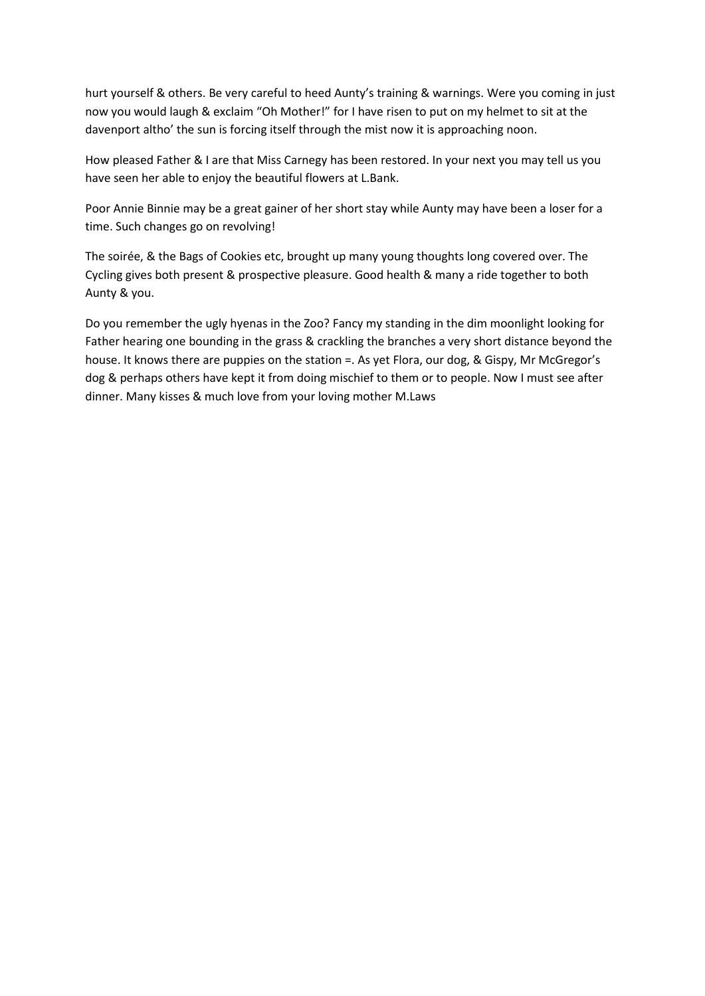hurt yourself & others. Be very careful to heed Aunty's training & warnings. Were you coming in just now you would laugh & exclaim "Oh Mother!" for I have risen to put on my helmet to sit at the davenport altho' the sun is forcing itself through the mist now it is approaching noon.

How pleased Father & I are that Miss Carnegy has been restored. In your next you may tell us you have seen her able to enjoy the beautiful flowers at L.Bank.

Poor Annie Binnie may be a great gainer of her short stay while Aunty may have been a loser for a time. Such changes go on revolving!

The soirée, & the Bags of Cookies etc, brought up many young thoughts long covered over. The Cycling gives both present & prospective pleasure. Good health & many a ride together to both Aunty & you.

Do you remember the ugly hyenas in the Zoo? Fancy my standing in the dim moonlight looking for Father hearing one bounding in the grass & crackling the branches a very short distance beyond the house. It knows there are puppies on the station =. As yet Flora, our dog, & Gispy, Mr McGregor's dog & perhaps others have kept it from doing mischief to them or to people. Now I must see after dinner. Many kisses & much love from your loving mother M.Laws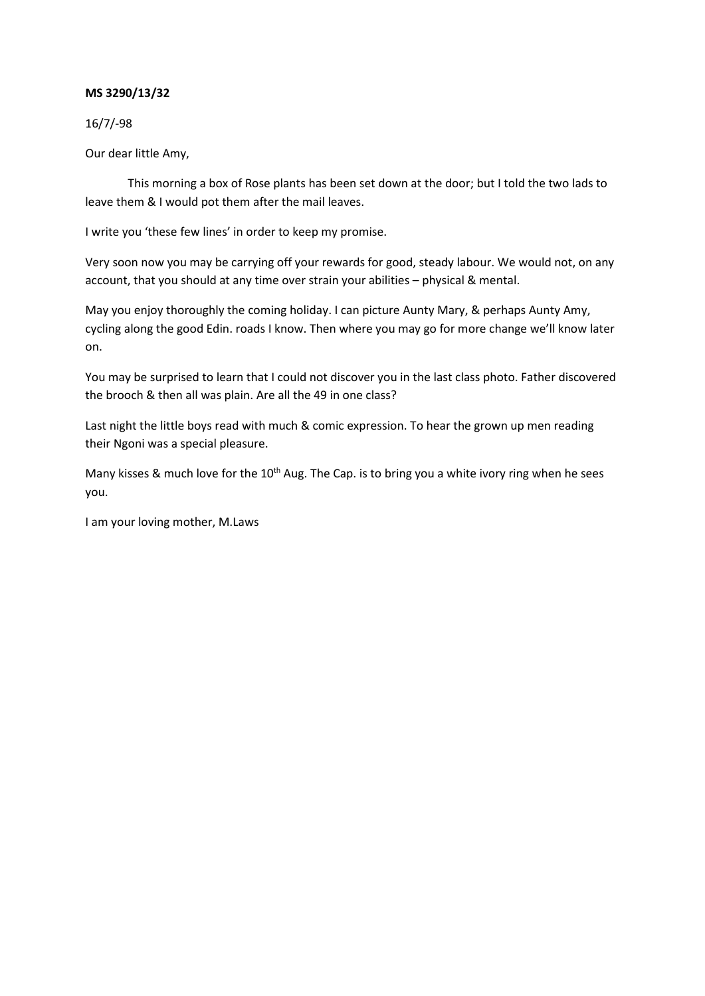16/7/-98

Our dear little Amy,

This morning a box of Rose plants has been set down at the door; but I told the two lads to leave them & I would pot them after the mail leaves.

I write you 'these few lines' in order to keep my promise.

Very soon now you may be carrying off your rewards for good, steady labour. We would not, on any account, that you should at any time over strain your abilities – physical & mental.

May you enjoy thoroughly the coming holiday. I can picture Aunty Mary, & perhaps Aunty Amy, cycling along the good Edin. roads I know. Then where you may go for more change we'll know later on.

You may be surprised to learn that I could not discover you in the last class photo. Father discovered the brooch & then all was plain. Are all the 49 in one class?

Last night the little boys read with much & comic expression. To hear the grown up men reading their Ngoni was a special pleasure.

Many kisses & much love for the  $10<sup>th</sup>$  Aug. The Cap. is to bring you a white ivory ring when he sees you.

I am your loving mother, M.Laws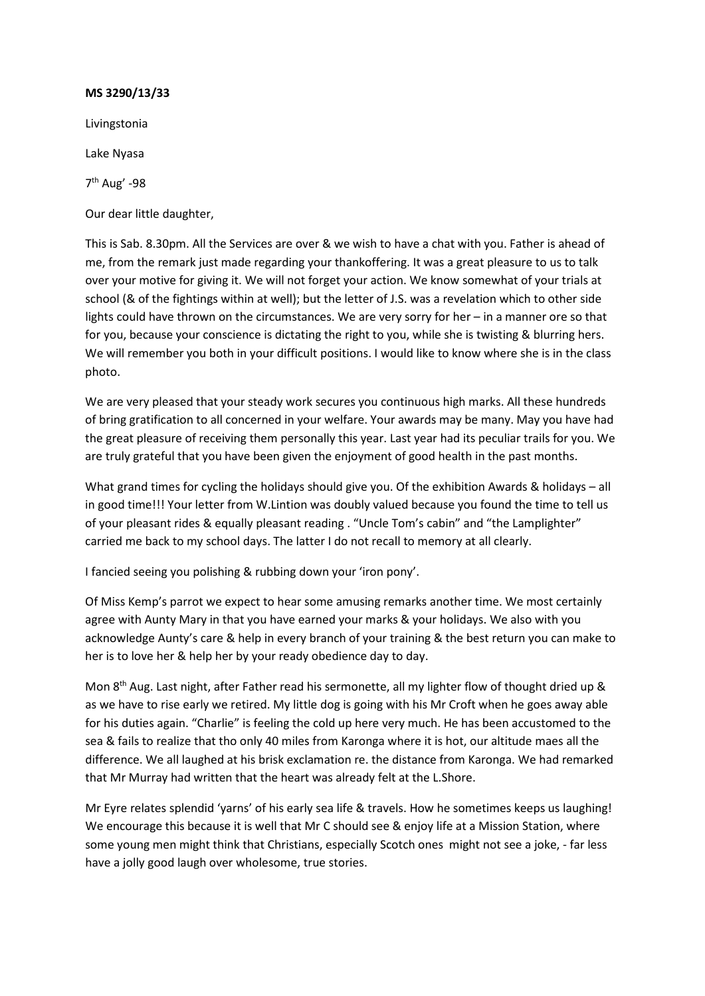Livingstonia Lake Nyasa 7th Aug' -98

Our dear little daughter,

This is Sab. 8.30pm. All the Services are over & we wish to have a chat with you. Father is ahead of me, from the remark just made regarding your thankoffering. It was a great pleasure to us to talk over your motive for giving it. We will not forget your action. We know somewhat of your trials at school (& of the fightings within at well); but the letter of J.S. was a revelation which to other side lights could have thrown on the circumstances. We are very sorry for her – in a manner ore so that for you, because your conscience is dictating the right to you, while she is twisting & blurring hers. We will remember you both in your difficult positions. I would like to know where she is in the class photo.

We are very pleased that your steady work secures you continuous high marks. All these hundreds of bring gratification to all concerned in your welfare. Your awards may be many. May you have had the great pleasure of receiving them personally this year. Last year had its peculiar trails for you. We are truly grateful that you have been given the enjoyment of good health in the past months.

What grand times for cycling the holidays should give you. Of the exhibition Awards & holidays – all in good time!!! Your letter from W.Lintion was doubly valued because you found the time to tell us of your pleasant rides & equally pleasant reading . "Uncle Tom's cabin" and "the Lamplighter" carried me back to my school days. The latter I do not recall to memory at all clearly.

I fancied seeing you polishing & rubbing down your 'iron pony'.

Of Miss Kemp's parrot we expect to hear some amusing remarks another time. We most certainly agree with Aunty Mary in that you have earned your marks & your holidays. We also with you acknowledge Aunty's care & help in every branch of your training & the best return you can make to her is to love her & help her by your ready obedience day to day.

Mon 8<sup>th</sup> Aug. Last night, after Father read his sermonette, all my lighter flow of thought dried up & as we have to rise early we retired. My little dog is going with his Mr Croft when he goes away able for his duties again. "Charlie" is feeling the cold up here very much. He has been accustomed to the sea & fails to realize that tho only 40 miles from Karonga where it is hot, our altitude maes all the difference. We all laughed at his brisk exclamation re. the distance from Karonga. We had remarked that Mr Murray had written that the heart was already felt at the L.Shore.

Mr Eyre relates splendid 'yarns' of his early sea life & travels. How he sometimes keeps us laughing! We encourage this because it is well that Mr C should see & enjoy life at a Mission Station, where some young men might think that Christians, especially Scotch ones might not see a joke, - far less have a jolly good laugh over wholesome, true stories.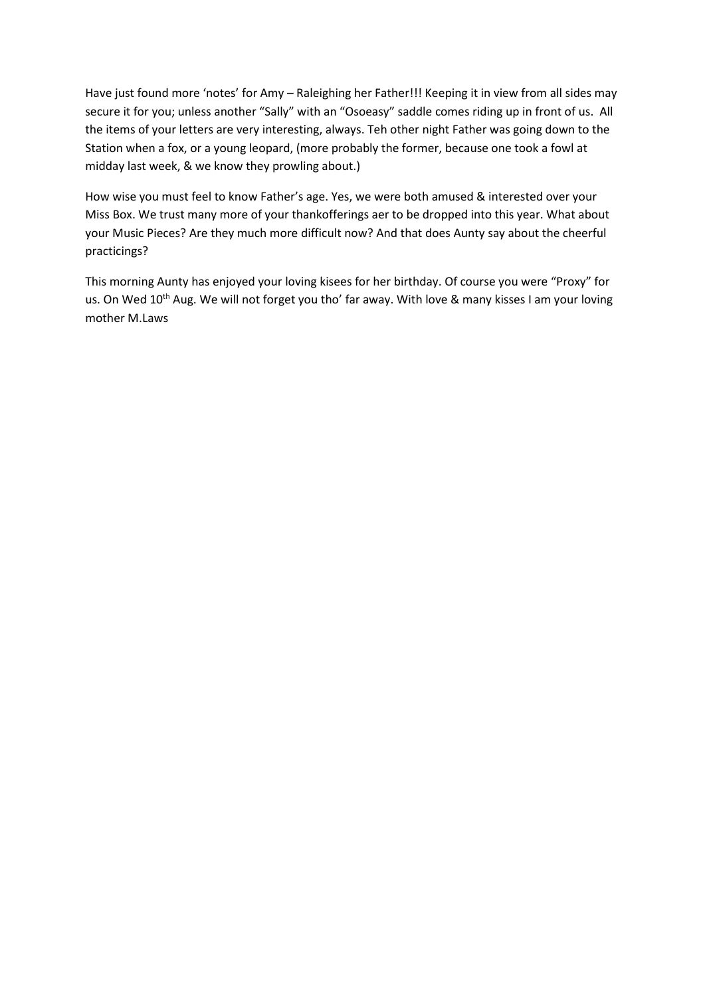Have just found more 'notes' for Amy – Raleighing her Father!!! Keeping it in view from all sides may secure it for you; unless another "Sally" with an "Osoeasy" saddle comes riding up in front of us. All the items of your letters are very interesting, always. Teh other night Father was going down to the Station when a fox, or a young leopard, (more probably the former, because one took a fowl at midday last week, & we know they prowling about.)

How wise you must feel to know Father's age. Yes, we were both amused & interested over your Miss Box. We trust many more of your thankofferings aer to be dropped into this year. What about your Music Pieces? Are they much more difficult now? And that does Aunty say about the cheerful practicings?

This morning Aunty has enjoyed your loving kisees for her birthday. Of course you were "Proxy" for us. On Wed 10<sup>th</sup> Aug. We will not forget you tho' far away. With love & many kisses I am your loving mother M.Laws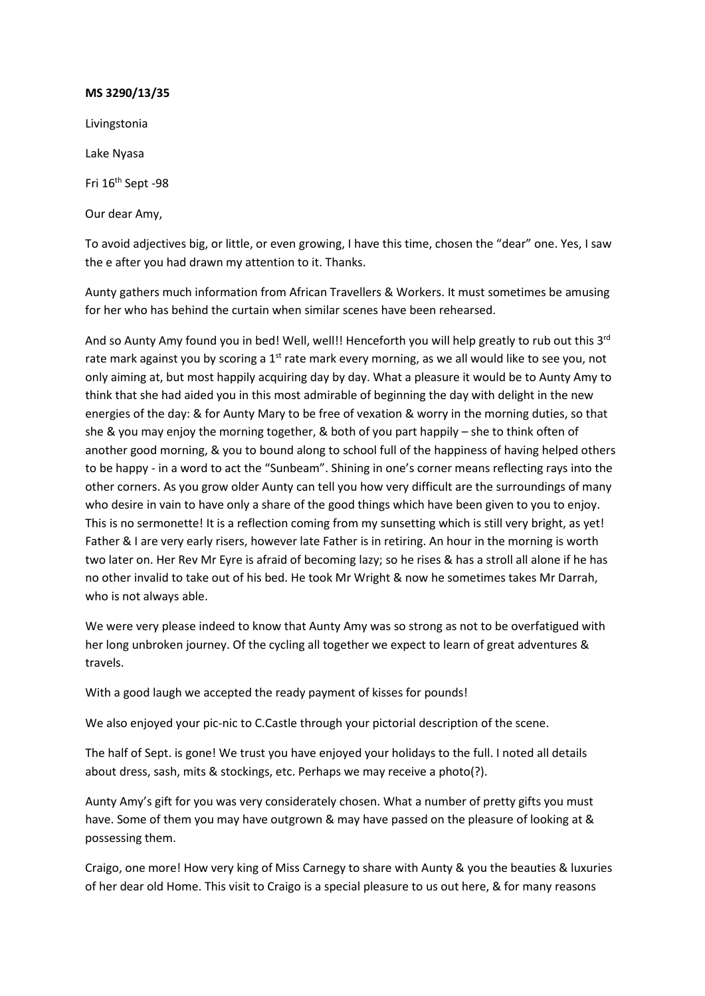Livingstonia

Lake Nyasa

Fri 16<sup>th</sup> Sept -98

Our dear Amy,

To avoid adjectives big, or little, or even growing, I have this time, chosen the "dear" one. Yes, I saw the e after you had drawn my attention to it. Thanks.

Aunty gathers much information from African Travellers & Workers. It must sometimes be amusing for her who has behind the curtain when similar scenes have been rehearsed.

And so Aunty Amy found you in bed! Well, well!! Henceforth you will help greatly to rub out this  $3^{rd}$ rate mark against you by scoring a 1<sup>st</sup> rate mark every morning, as we all would like to see you, not only aiming at, but most happily acquiring day by day. What a pleasure it would be to Aunty Amy to think that she had aided you in this most admirable of beginning the day with delight in the new energies of the day: & for Aunty Mary to be free of vexation & worry in the morning duties, so that she & you may enjoy the morning together, & both of you part happily – she to think often of another good morning, & you to bound along to school full of the happiness of having helped others to be happy - in a word to act the "Sunbeam". Shining in one's corner means reflecting rays into the other corners. As you grow older Aunty can tell you how very difficult are the surroundings of many who desire in vain to have only a share of the good things which have been given to you to enjoy. This is no sermonette! It is a reflection coming from my sunsetting which is still very bright, as yet! Father & I are very early risers, however late Father is in retiring. An hour in the morning is worth two later on. Her Rev Mr Eyre is afraid of becoming lazy; so he rises & has a stroll all alone if he has no other invalid to take out of his bed. He took Mr Wright & now he sometimes takes Mr Darrah, who is not always able.

We were very please indeed to know that Aunty Amy was so strong as not to be overfatigued with her long unbroken journey. Of the cycling all together we expect to learn of great adventures & travels.

With a good laugh we accepted the ready payment of kisses for pounds!

We also enjoyed your pic-nic to C.Castle through your pictorial description of the scene.

The half of Sept. is gone! We trust you have enjoyed your holidays to the full. I noted all details about dress, sash, mits & stockings, etc. Perhaps we may receive a photo(?).

Aunty Amy's gift for you was very considerately chosen. What a number of pretty gifts you must have. Some of them you may have outgrown & may have passed on the pleasure of looking at & possessing them.

Craigo, one more! How very king of Miss Carnegy to share with Aunty & you the beauties & luxuries of her dear old Home. This visit to Craigo is a special pleasure to us out here, & for many reasons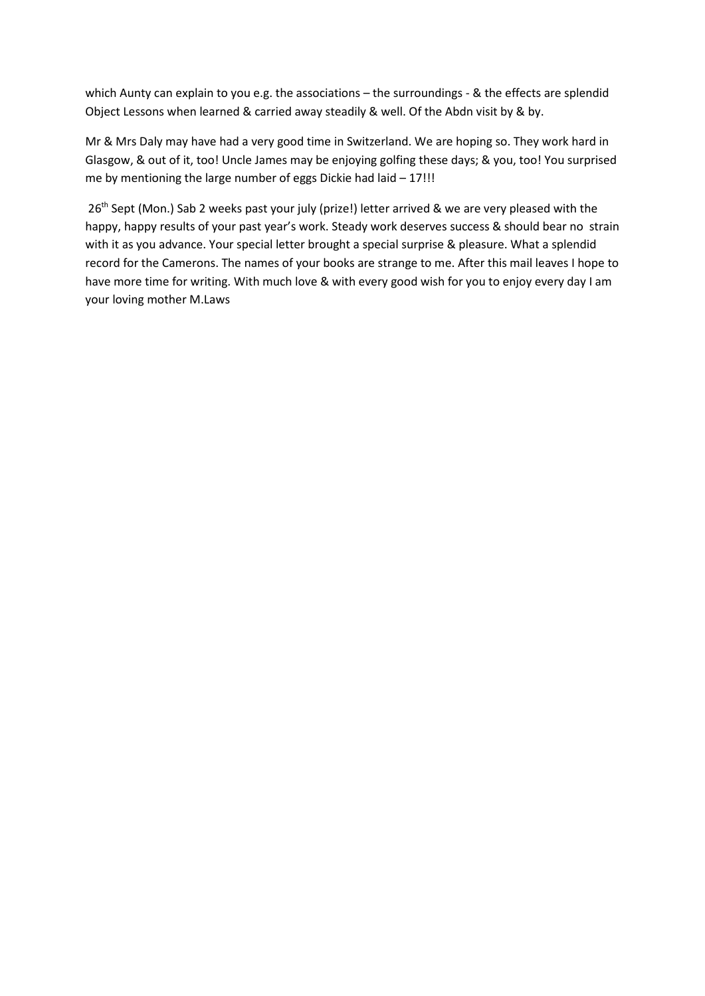which Aunty can explain to you e.g. the associations – the surroundings - & the effects are splendid Object Lessons when learned & carried away steadily & well. Of the Abdn visit by & by.

Mr & Mrs Daly may have had a very good time in Switzerland. We are hoping so. They work hard in Glasgow, & out of it, too! Uncle James may be enjoying golfing these days; & you, too! You surprised me by mentioning the large number of eggs Dickie had laid – 17!!!

26<sup>th</sup> Sept (Mon.) Sab 2 weeks past your july (prize!) letter arrived & we are very pleased with the happy, happy results of your past year's work. Steady work deserves success & should bear no strain with it as you advance. Your special letter brought a special surprise & pleasure. What a splendid record for the Camerons. The names of your books are strange to me. After this mail leaves I hope to have more time for writing. With much love & with every good wish for you to enjoy every day I am your loving mother M.Laws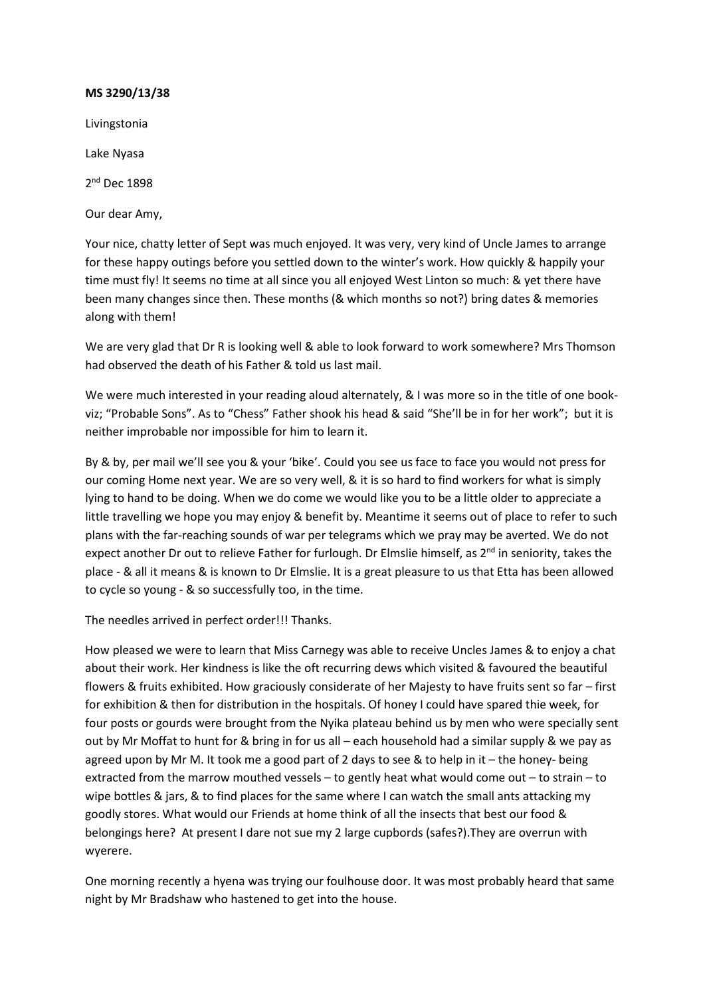Livingstonia

Lake Nyasa

2<sup>nd</sup> Dec 1898

Our dear Amy,

Your nice, chatty letter of Sept was much enjoyed. It was very, very kind of Uncle James to arrange for these happy outings before you settled down to the winter's work. How quickly & happily your time must fly! It seems no time at all since you all enjoyed West Linton so much: & yet there have been many changes since then. These months (& which months so not?) bring dates & memories along with them!

We are very glad that Dr R is looking well & able to look forward to work somewhere? Mrs Thomson had observed the death of his Father & told us last mail.

We were much interested in your reading aloud alternately, & I was more so in the title of one bookviz; "Probable Sons". As to "Chess" Father shook his head & said "She'll be in for her work"; but it is neither improbable nor impossible for him to learn it.

By & by, per mail we'll see you & your 'bike'. Could you see us face to face you would not press for our coming Home next year. We are so very well, & it is so hard to find workers for what is simply lying to hand to be doing. When we do come we would like you to be a little older to appreciate a little travelling we hope you may enjoy & benefit by. Meantime it seems out of place to refer to such plans with the far-reaching sounds of war per telegrams which we pray may be averted. We do not expect another Dr out to relieve Father for furlough. Dr Elmslie himself, as  $2^{nd}$  in seniority, takes the place - & all it means & is known to Dr Elmslie. It is a great pleasure to us that Etta has been allowed to cycle so young - & so successfully too, in the time.

The needles arrived in perfect order!!! Thanks.

How pleased we were to learn that Miss Carnegy was able to receive Uncles James & to enjoy a chat about their work. Her kindness is like the oft recurring dews which visited & favoured the beautiful flowers & fruits exhibited. How graciously considerate of her Majesty to have fruits sent so far – first for exhibition & then for distribution in the hospitals. Of honey I could have spared thie week, for four posts or gourds were brought from the Nyika plateau behind us by men who were specially sent out by Mr Moffat to hunt for & bring in for us all – each household had a similar supply & we pay as agreed upon by Mr M. It took me a good part of 2 days to see & to help in it – the honey- being extracted from the marrow mouthed vessels – to gently heat what would come out – to strain – to wipe bottles & jars, & to find places for the same where I can watch the small ants attacking my goodly stores. What would our Friends at home think of all the insects that best our food & belongings here? At present I dare not sue my 2 large cupbords (safes?).They are overrun with wyerere.

One morning recently a hyena was trying our foulhouse door. It was most probably heard that same night by Mr Bradshaw who hastened to get into the house.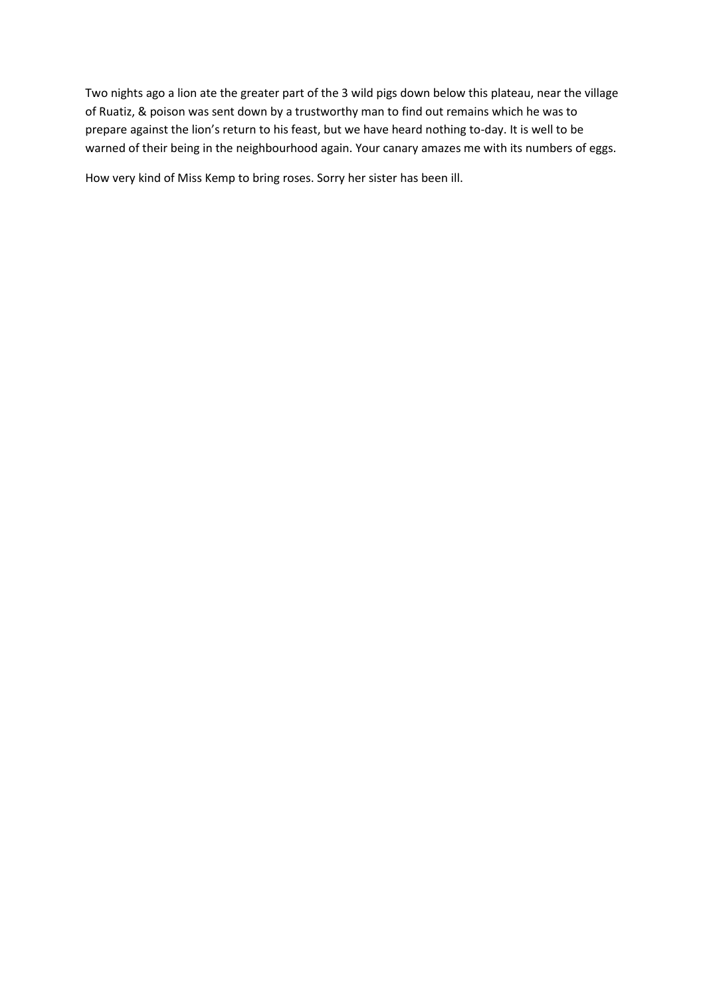Two nights ago a lion ate the greater part of the 3 wild pigs down below this plateau, near the village of Ruatiz, & poison was sent down by a trustworthy man to find out remains which he was to prepare against the lion's return to his feast, but we have heard nothing to-day. It is well to be warned of their being in the neighbourhood again. Your canary amazes me with its numbers of eggs.

How very kind of Miss Kemp to bring roses. Sorry her sister has been ill.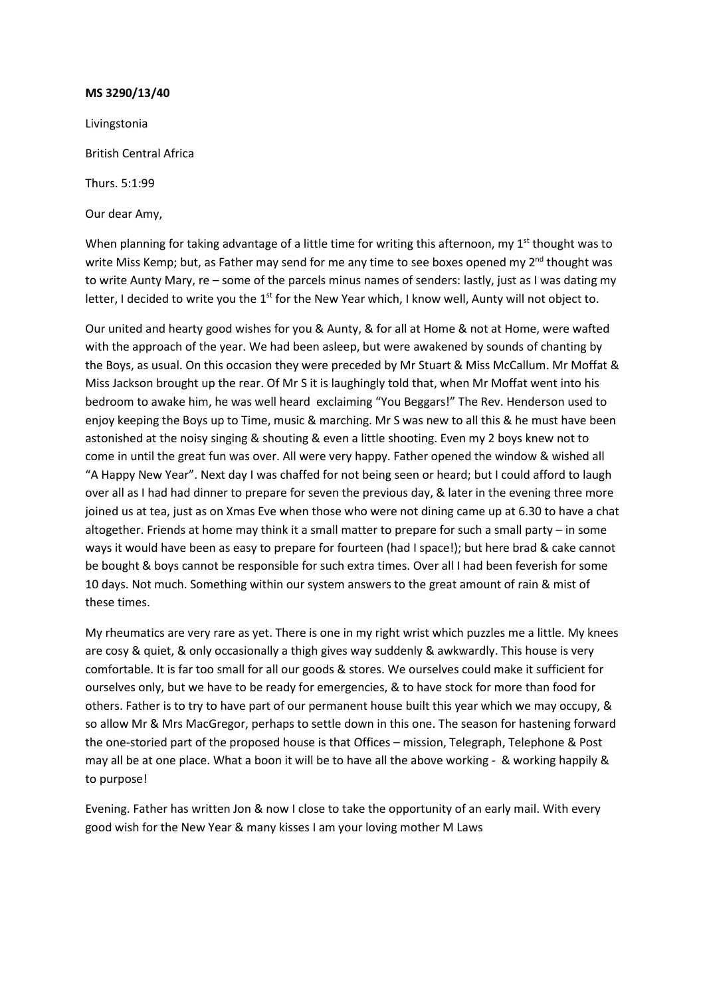Livingstonia British Central Africa Thurs. 5:1:99 Our dear Amy,

When planning for taking advantage of a little time for writing this afternoon, my 1st thought was to write Miss Kemp; but, as Father may send for me any time to see boxes opened my  $2^{nd}$  thought was to write Aunty Mary, re – some of the parcels minus names of senders: lastly, just as I was dating my letter, I decided to write you the  $1<sup>st</sup>$  for the New Year which, I know well, Aunty will not object to.

Our united and hearty good wishes for you & Aunty, & for all at Home & not at Home, were wafted with the approach of the year. We had been asleep, but were awakened by sounds of chanting by the Boys, as usual. On this occasion they were preceded by Mr Stuart & Miss McCallum. Mr Moffat & Miss Jackson brought up the rear. Of Mr S it is laughingly told that, when Mr Moffat went into his bedroom to awake him, he was well heard exclaiming "You Beggars!" The Rev. Henderson used to enjoy keeping the Boys up to Time, music & marching. Mr S was new to all this & he must have been astonished at the noisy singing & shouting & even a little shooting. Even my 2 boys knew not to come in until the great fun was over. All were very happy. Father opened the window & wished all "A Happy New Year". Next day I was chaffed for not being seen or heard; but I could afford to laugh over all as I had had dinner to prepare for seven the previous day, & later in the evening three more joined us at tea, just as on Xmas Eve when those who were not dining came up at 6.30 to have a chat altogether. Friends at home may think it a small matter to prepare for such a small party – in some ways it would have been as easy to prepare for fourteen (had I space!); but here brad & cake cannot be bought & boys cannot be responsible for such extra times. Over all I had been feverish for some 10 days. Not much. Something within our system answers to the great amount of rain & mist of these times.

My rheumatics are very rare as yet. There is one in my right wrist which puzzles me a little. My knees are cosy & quiet, & only occasionally a thigh gives way suddenly & awkwardly. This house is very comfortable. It is far too small for all our goods & stores. We ourselves could make it sufficient for ourselves only, but we have to be ready for emergencies, & to have stock for more than food for others. Father is to try to have part of our permanent house built this year which we may occupy, & so allow Mr & Mrs MacGregor, perhaps to settle down in this one. The season for hastening forward the one-storied part of the proposed house is that Offices – mission, Telegraph, Telephone & Post may all be at one place. What a boon it will be to have all the above working - & working happily & to purpose!

Evening. Father has written Jon & now I close to take the opportunity of an early mail. With every good wish for the New Year & many kisses I am your loving mother M Laws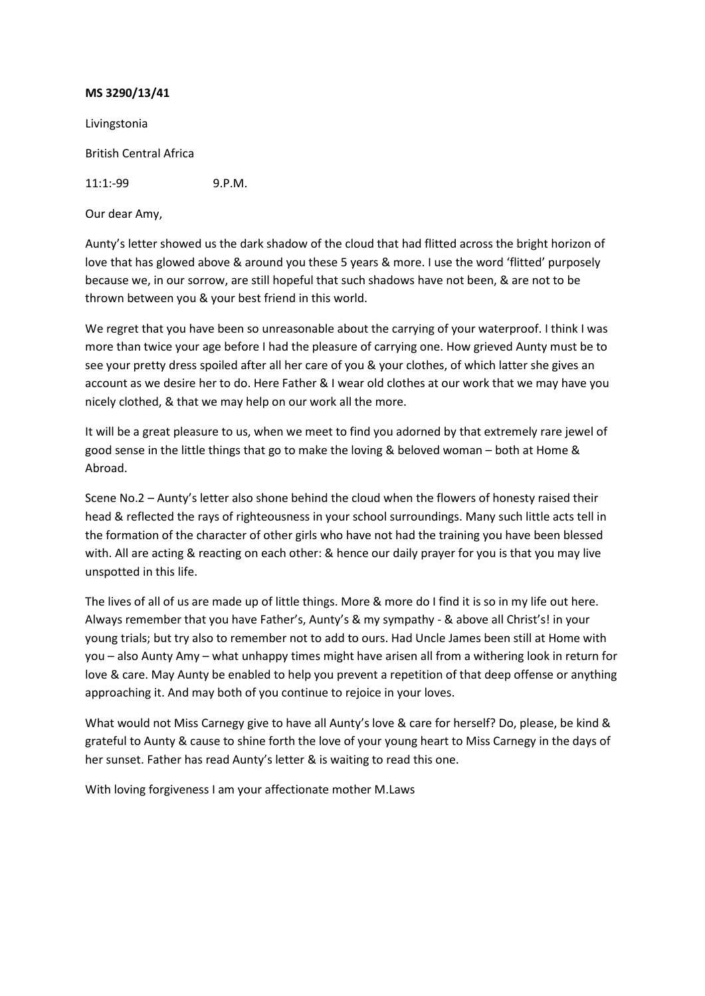Livingstonia

British Central Africa

11:1:-99 9.P.M.

Our dear Amy,

Aunty's letter showed us the dark shadow of the cloud that had flitted across the bright horizon of love that has glowed above & around you these 5 years & more. I use the word 'flitted' purposely because we, in our sorrow, are still hopeful that such shadows have not been, & are not to be thrown between you & your best friend in this world.

We regret that you have been so unreasonable about the carrying of your waterproof. I think I was more than twice your age before I had the pleasure of carrying one. How grieved Aunty must be to see your pretty dress spoiled after all her care of you & your clothes, of which latter she gives an account as we desire her to do. Here Father & I wear old clothes at our work that we may have you nicely clothed, & that we may help on our work all the more.

It will be a great pleasure to us, when we meet to find you adorned by that extremely rare jewel of good sense in the little things that go to make the loving & beloved woman – both at Home & Abroad.

Scene No.2 – Aunty's letter also shone behind the cloud when the flowers of honesty raised their head & reflected the rays of righteousness in your school surroundings. Many such little acts tell in the formation of the character of other girls who have not had the training you have been blessed with. All are acting & reacting on each other: & hence our daily prayer for you is that you may live unspotted in this life.

The lives of all of us are made up of little things. More & more do I find it is so in my life out here. Always remember that you have Father's, Aunty's & my sympathy - & above all Christ's! in your young trials; but try also to remember not to add to ours. Had Uncle James been still at Home with you – also Aunty Amy – what unhappy times might have arisen all from a withering look in return for love & care. May Aunty be enabled to help you prevent a repetition of that deep offense or anything approaching it. And may both of you continue to rejoice in your loves.

What would not Miss Carnegy give to have all Aunty's love & care for herself? Do, please, be kind & grateful to Aunty & cause to shine forth the love of your young heart to Miss Carnegy in the days of her sunset. Father has read Aunty's letter & is waiting to read this one.

With loving forgiveness I am your affectionate mother M.Laws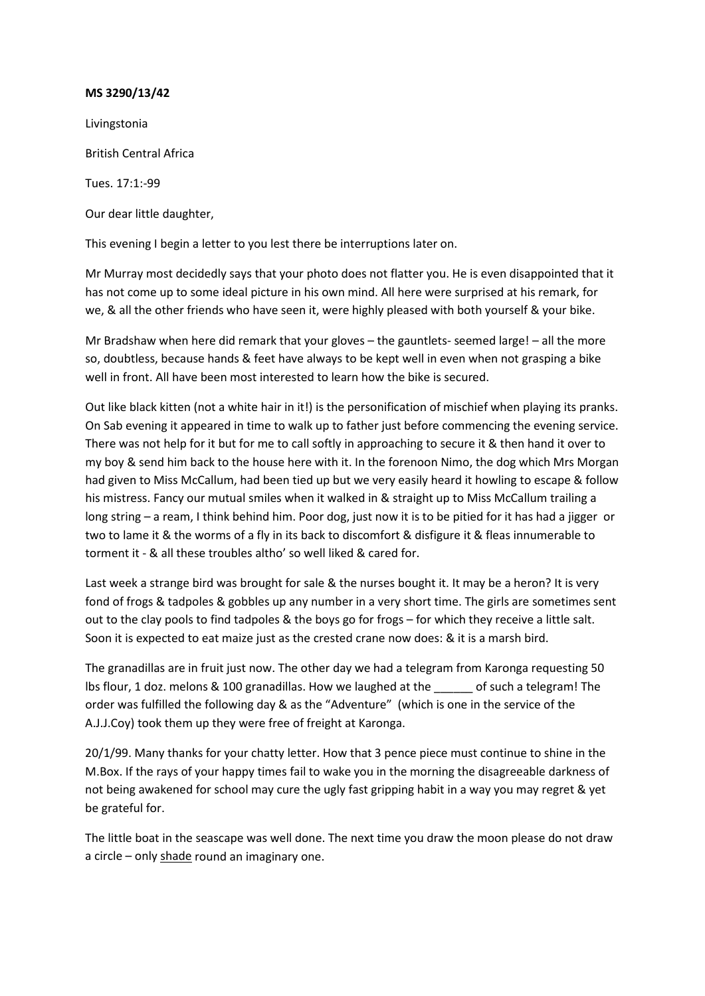Livingstonia British Central Africa Tues. 17:1:-99 Our dear little daughter,

This evening I begin a letter to you lest there be interruptions later on.

Mr Murray most decidedly says that your photo does not flatter you. He is even disappointed that it has not come up to some ideal picture in his own mind. All here were surprised at his remark, for we, & all the other friends who have seen it, were highly pleased with both yourself & your bike.

Mr Bradshaw when here did remark that your gloves – the gauntlets- seemed large! – all the more so, doubtless, because hands & feet have always to be kept well in even when not grasping a bike well in front. All have been most interested to learn how the bike is secured.

Out like black kitten (not a white hair in it!) is the personification of mischief when playing its pranks. On Sab evening it appeared in time to walk up to father just before commencing the evening service. There was not help for it but for me to call softly in approaching to secure it & then hand it over to my boy & send him back to the house here with it. In the forenoon Nimo, the dog which Mrs Morgan had given to Miss McCallum, had been tied up but we very easily heard it howling to escape & follow his mistress. Fancy our mutual smiles when it walked in & straight up to Miss McCallum trailing a long string – a ream, I think behind him. Poor dog, just now it is to be pitied for it has had a jigger or two to lame it & the worms of a fly in its back to discomfort & disfigure it & fleas innumerable to torment it - & all these troubles altho' so well liked & cared for.

Last week a strange bird was brought for sale & the nurses bought it. It may be a heron? It is very fond of frogs & tadpoles & gobbles up any number in a very short time. The girls are sometimes sent out to the clay pools to find tadpoles & the boys go for frogs – for which they receive a little salt. Soon it is expected to eat maize just as the crested crane now does: & it is a marsh bird.

The granadillas are in fruit just now. The other day we had a telegram from Karonga requesting 50 lbs flour, 1 doz. melons & 100 granadillas. How we laughed at the \_\_\_\_\_\_ of such a telegram! The order was fulfilled the following day & as the "Adventure" (which is one in the service of the A.J.J.Coy) took them up they were free of freight at Karonga.

20/1/99. Many thanks for your chatty letter. How that 3 pence piece must continue to shine in the M.Box. If the rays of your happy times fail to wake you in the morning the disagreeable darkness of not being awakened for school may cure the ugly fast gripping habit in a way you may regret & yet be grateful for.

The little boat in the seascape was well done. The next time you draw the moon please do not draw a circle – only shade round an imaginary one.